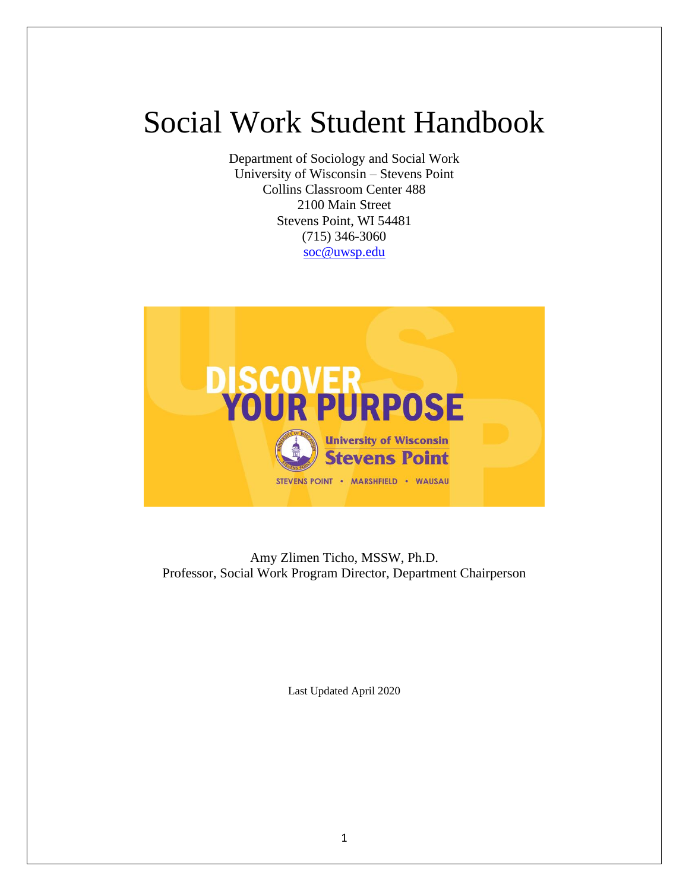# Social Work Student Handbook

Department of Sociology and Social Work University of Wisconsin – Stevens Point Collins Classroom Center 488 2100 Main Street Stevens Point, WI 54481 (715) 346-3060 [soc@uwsp.edu](mailto:soc@uwsp.edu)



Amy Zlimen Ticho, MSSW, Ph.D. Professor, Social Work Program Director, Department Chairperson

Last Updated April 2020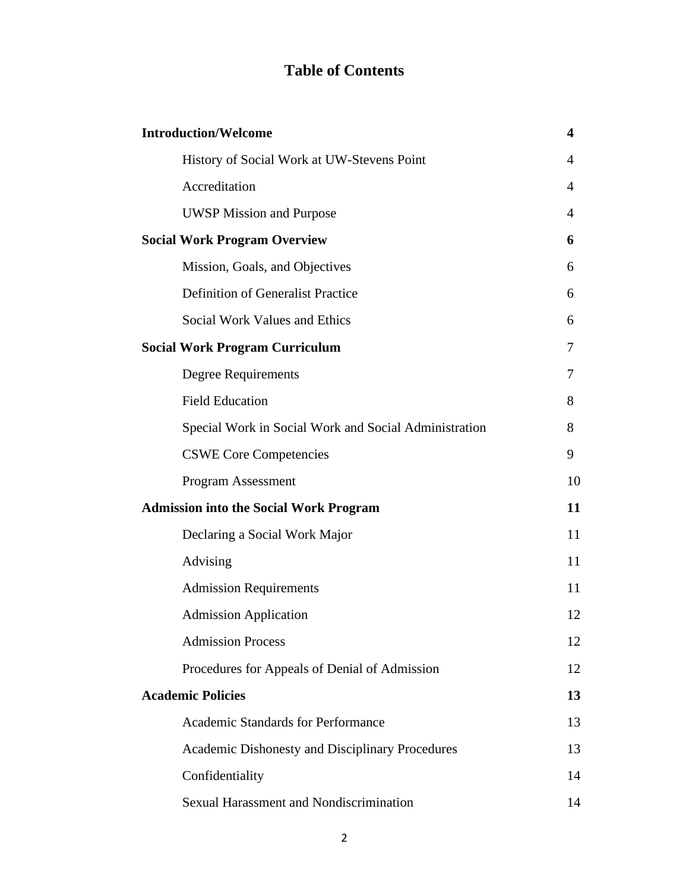# **Table of Contents**

| <b>Introduction/Welcome</b>                   |                                                       | 4  |
|-----------------------------------------------|-------------------------------------------------------|----|
|                                               | History of Social Work at UW-Stevens Point            | 4  |
|                                               | Accreditation                                         | 4  |
|                                               | <b>UWSP Mission and Purpose</b>                       | 4  |
| <b>Social Work Program Overview</b>           |                                                       | 6  |
|                                               | Mission, Goals, and Objectives                        | 6  |
|                                               | Definition of Generalist Practice                     | 6  |
|                                               | Social Work Values and Ethics                         | 6  |
| <b>Social Work Program Curriculum</b>         |                                                       | 7  |
|                                               | <b>Degree Requirements</b>                            | 7  |
|                                               | <b>Field Education</b>                                | 8  |
|                                               | Special Work in Social Work and Social Administration | 8  |
|                                               | <b>CSWE Core Competencies</b>                         | 9  |
|                                               | <b>Program Assessment</b>                             | 10 |
| <b>Admission into the Social Work Program</b> |                                                       | 11 |
|                                               | Declaring a Social Work Major                         | 11 |
|                                               | Advising                                              | 11 |
|                                               | <b>Admission Requirements</b>                         | 11 |
|                                               | <b>Admission Application</b>                          | 12 |
|                                               | <b>Admission Process</b>                              | 12 |
|                                               | Procedures for Appeals of Denial of Admission         | 12 |
| <b>Academic Policies</b>                      |                                                       | 13 |
|                                               | <b>Academic Standards for Performance</b>             | 13 |
|                                               |                                                       |    |
|                                               | Academic Dishonesty and Disciplinary Procedures       | 13 |
|                                               | Confidentiality                                       | 14 |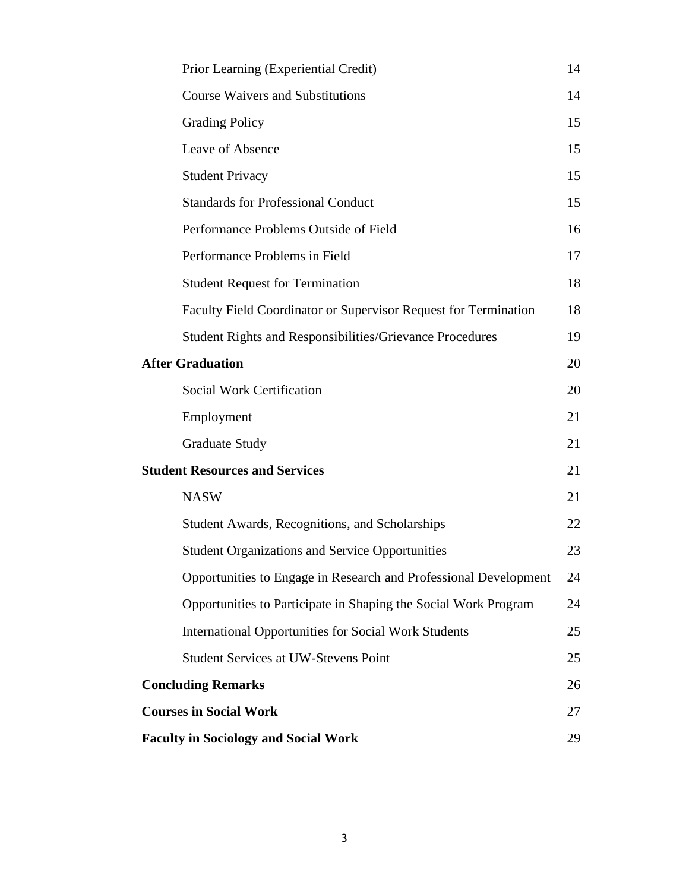|                                       | Prior Learning (Experiential Credit)                             | 14 |
|---------------------------------------|------------------------------------------------------------------|----|
|                                       | <b>Course Waivers and Substitutions</b>                          | 14 |
|                                       | <b>Grading Policy</b>                                            | 15 |
|                                       | Leave of Absence                                                 | 15 |
|                                       | <b>Student Privacy</b>                                           | 15 |
|                                       | <b>Standards for Professional Conduct</b>                        | 15 |
|                                       | Performance Problems Outside of Field                            | 16 |
|                                       | Performance Problems in Field                                    | 17 |
|                                       | <b>Student Request for Termination</b>                           | 18 |
|                                       | Faculty Field Coordinator or Supervisor Request for Termination  | 18 |
|                                       | <b>Student Rights and Responsibilities/Grievance Procedures</b>  | 19 |
| <b>After Graduation</b>               |                                                                  | 20 |
|                                       | <b>Social Work Certification</b>                                 | 20 |
|                                       | Employment                                                       | 21 |
|                                       | <b>Graduate Study</b>                                            | 21 |
| <b>Student Resources and Services</b> |                                                                  | 21 |
|                                       | <b>NASW</b>                                                      | 21 |
|                                       | Student Awards, Recognitions, and Scholarships                   | 22 |
|                                       | <b>Student Organizations and Service Opportunities</b>           | 23 |
|                                       | Opportunities to Engage in Research and Professional Development | 24 |
|                                       | Opportunities to Participate in Shaping the Social Work Program  | 24 |
|                                       | <b>International Opportunities for Social Work Students</b>      | 25 |
|                                       | <b>Student Services at UW-Stevens Point</b>                      | 25 |
|                                       | <b>Concluding Remarks</b>                                        |    |
|                                       | <b>Courses in Social Work</b>                                    |    |
|                                       | <b>Faculty in Sociology and Social Work</b>                      |    |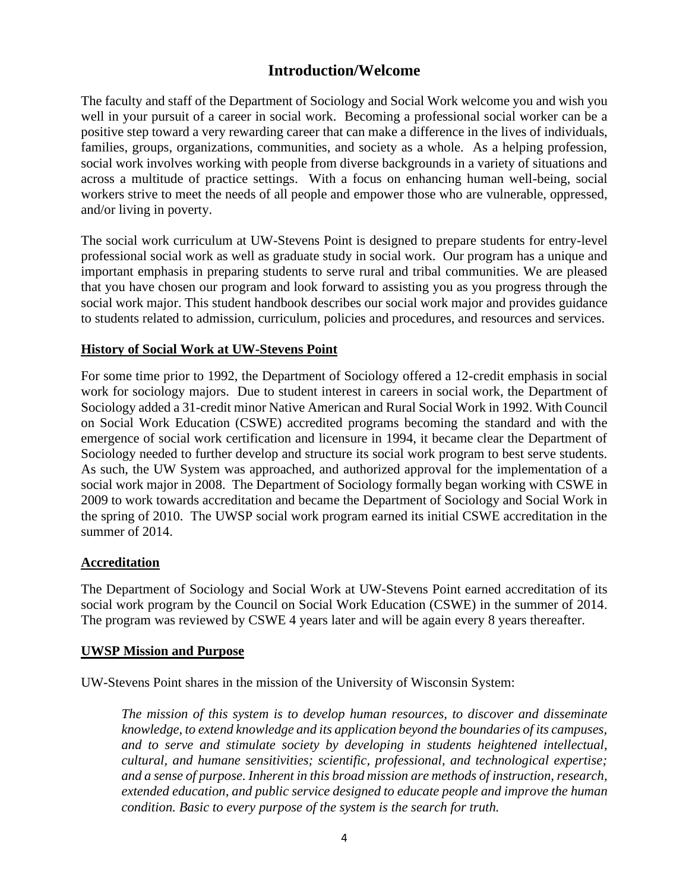# **Introduction/Welcome**

The faculty and staff of the Department of Sociology and Social Work welcome you and wish you well in your pursuit of a career in social work. Becoming a professional social worker can be a positive step toward a very rewarding career that can make a difference in the lives of individuals, families, groups, organizations, communities, and society as a whole. As a helping profession, social work involves working with people from diverse backgrounds in a variety of situations and across a multitude of practice settings. With a focus on enhancing human well-being, social workers strive to meet the needs of all people and empower those who are vulnerable, oppressed, and/or living in poverty.

The social work curriculum at UW-Stevens Point is designed to prepare students for entry-level professional social work as well as graduate study in social work. Our program has a unique and important emphasis in preparing students to serve rural and tribal communities. We are pleased that you have chosen our program and look forward to assisting you as you progress through the social work major. This student handbook describes our social work major and provides guidance to students related to admission, curriculum, policies and procedures, and resources and services.

#### **History of Social Work at UW-Stevens Point**

For some time prior to 1992, the Department of Sociology offered a 12-credit emphasis in social work for sociology majors. Due to student interest in careers in social work, the Department of Sociology added a 31-credit minor Native American and Rural Social Work in 1992. With Council on Social Work Education (CSWE) accredited programs becoming the standard and with the emergence of social work certification and licensure in 1994, it became clear the Department of Sociology needed to further develop and structure its social work program to best serve students. As such, the UW System was approached, and authorized approval for the implementation of a social work major in 2008. The Department of Sociology formally began working with CSWE in 2009 to work towards accreditation and became the Department of Sociology and Social Work in the spring of 2010. The UWSP social work program earned its initial CSWE accreditation in the summer of 2014.

#### **Accreditation**

The Department of Sociology and Social Work at UW-Stevens Point earned accreditation of its social work program by the Council on Social Work Education (CSWE) in the summer of 2014. The program was reviewed by CSWE 4 years later and will be again every 8 years thereafter.

#### **UWSP Mission and Purpose**

UW-Stevens Point shares in the mission of the University of Wisconsin System:

*The mission of this system is to develop human resources, to discover and disseminate knowledge, to extend knowledge and its application beyond the boundaries of its campuses, and to serve and stimulate society by developing in students heightened intellectual, cultural, and humane sensitivities; scientific, professional, and technological expertise; and a sense of purpose. Inherent in this broad mission are methods of instruction, research, extended education, and public service designed to educate people and improve the human condition. Basic to every purpose of the system is the search for truth.*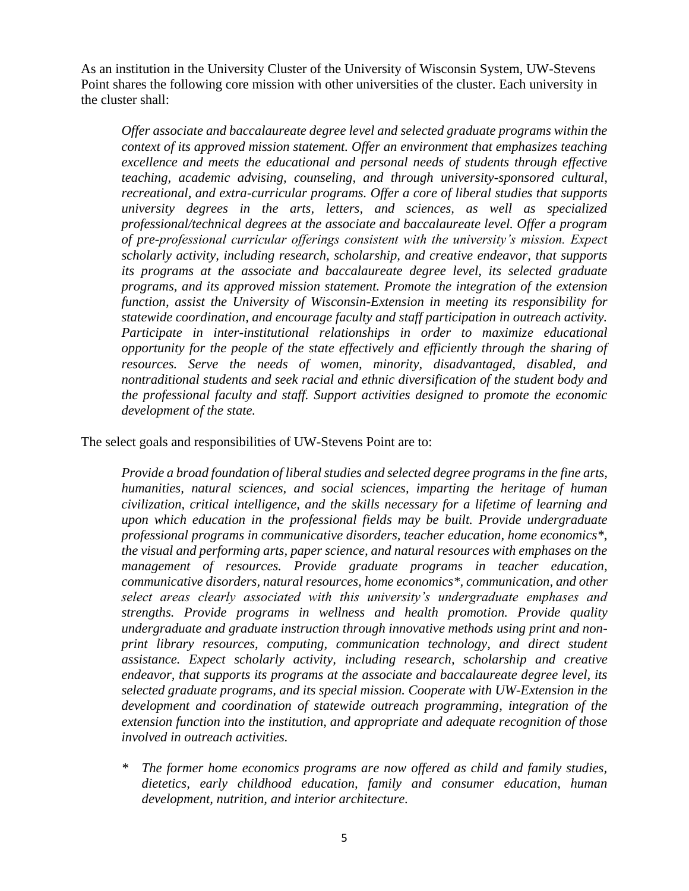As an institution in the University Cluster of the University of Wisconsin System, UW-Stevens Point shares the following core mission with other universities of the cluster. Each university in the cluster shall:

*Offer associate and baccalaureate degree level and selected graduate programs within the context of its approved mission statement. Offer an environment that emphasizes teaching excellence and meets the educational and personal needs of students through effective teaching, academic advising, counseling, and through university-sponsored cultural, recreational, and extra-curricular programs. Offer a core of liberal studies that supports university degrees in the arts, letters, and sciences, as well as specialized professional/technical degrees at the associate and baccalaureate level. Offer a program of pre-professional curricular offerings consistent with the university's mission. Expect scholarly activity, including research, scholarship, and creative endeavor, that supports its programs at the associate and baccalaureate degree level, its selected graduate programs, and its approved mission statement. Promote the integration of the extension function, assist the University of Wisconsin-Extension in meeting its responsibility for statewide coordination, and encourage faculty and staff participation in outreach activity. Participate in inter-institutional relationships in order to maximize educational opportunity for the people of the state effectively and efficiently through the sharing of resources. Serve the needs of women, minority, disadvantaged, disabled, and nontraditional students and seek racial and ethnic diversification of the student body and the professional faculty and staff. Support activities designed to promote the economic development of the state.* 

The select goals and responsibilities of UW-Stevens Point are to:

*Provide a broad foundation of liberal studies and selected degree programs in the fine arts, humanities, natural sciences, and social sciences, imparting the heritage of human civilization, critical intelligence, and the skills necessary for a lifetime of learning and upon which education in the professional fields may be built. Provide undergraduate professional programs in communicative disorders, teacher education, home economics\*, the visual and performing arts, paper science, and natural resources with emphases on the management of resources. Provide graduate programs in teacher education, communicative disorders, natural resources, home economics\*, communication, and other select areas clearly associated with this university's undergraduate emphases and strengths. Provide programs in wellness and health promotion. Provide quality undergraduate and graduate instruction through innovative methods using print and nonprint library resources, computing, communication technology, and direct student assistance. Expect scholarly activity, including research, scholarship and creative endeavor, that supports its programs at the associate and baccalaureate degree level, its selected graduate programs, and its special mission. Cooperate with UW-Extension in the development and coordination of statewide outreach programming, integration of the extension function into the institution, and appropriate and adequate recognition of those involved in outreach activities.*

*\* The former home economics programs are now offered as child and family studies, dietetics, early childhood education, family and consumer education, human development, nutrition, and interior architecture.*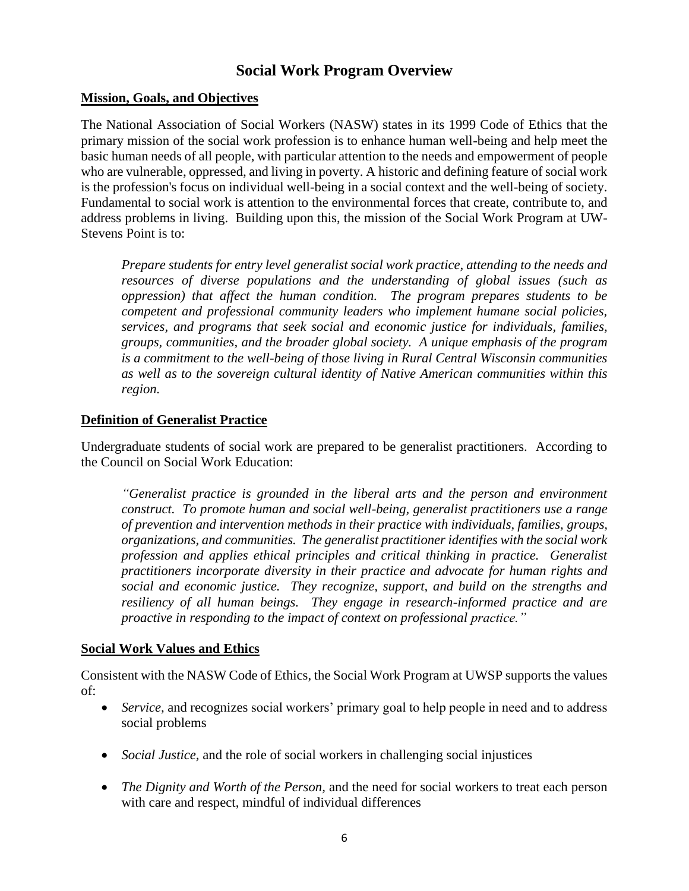# **Social Work Program Overview**

## **Mission, Goals, and Objectives**

The National Association of Social Workers (NASW) states in its 1999 Code of Ethics that the primary mission of the social work profession is to enhance human well-being and help meet the basic human needs of all people, with particular attention to the needs and empowerment of people who are vulnerable, oppressed, and living in poverty. A historic and defining feature of social work is the profession's focus on individual well-being in a social context and the well-being of society. Fundamental to social work is attention to the environmental forces that create, contribute to, and address problems in living. Building upon this, the mission of the Social Work Program at UW-Stevens Point is to:

*Prepare students for entry level generalist social work practice, attending to the needs and resources of diverse populations and the understanding of global issues (such as oppression) that affect the human condition. The program prepares students to be competent and professional community leaders who implement humane social policies, services, and programs that seek social and economic justice for individuals, families, groups, communities, and the broader global society. A unique emphasis of the program is a commitment to the well-being of those living in Rural Central Wisconsin communities as well as to the sovereign cultural identity of Native American communities within this region.*

## **Definition of Generalist Practice**

Undergraduate students of social work are prepared to be generalist practitioners. According to the Council on Social Work Education:

*"Generalist practice is grounded in the liberal arts and the person and environment construct. To promote human and social well-being, generalist practitioners use a range of prevention and intervention methods in their practice with individuals, families, groups, organizations, and communities. The generalist practitioner identifies with the social work profession and applies ethical principles and critical thinking in practice. Generalist practitioners incorporate diversity in their practice and advocate for human rights and social and economic justice. They recognize, support, and build on the strengths and resiliency of all human beings. They engage in research-informed practice and are proactive in responding to the impact of context on professional practice."*

## **Social Work Values and Ethics**

Consistent with the NASW Code of Ethics, the Social Work Program at UWSP supports the values of:

- *Service*, and recognizes social workers' primary goal to help people in need and to address social problems
- *Social Justice,* and the role of social workers in challenging social injustices
- *The Dignity and Worth of the Person*, and the need for social workers to treat each person with care and respect, mindful of individual differences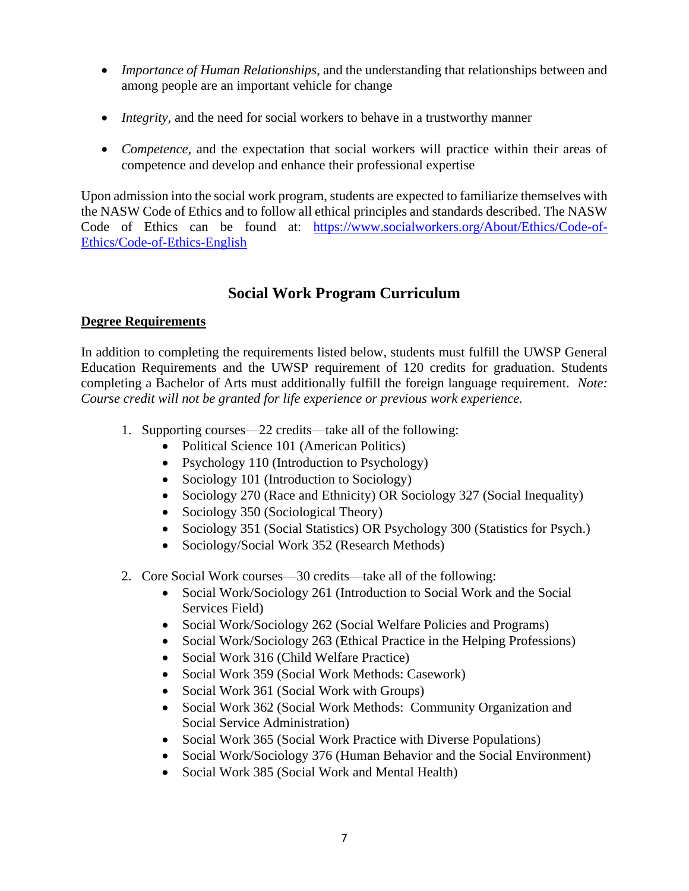- *Importance of Human Relationships,* and the understanding that relationships between and among people are an important vehicle for change
- *Integrity*, and the need for social workers to behave in a trustworthy manner
- *Competence,* and the expectation that social workers will practice within their areas of competence and develop and enhance their professional expertise

Upon admission into the social work program, students are expected to familiarize themselves with the NASW Code of Ethics and to follow all ethical principles and standards described. The NASW Code of Ethics can be found at: [https://www.socialworkers.org/About/Ethics/Code-of-](https://www.socialworkers.org/About/Ethics/Code-of-Ethics/Code-of-Ethics-English)[Ethics/Code-of-Ethics-English](https://www.socialworkers.org/About/Ethics/Code-of-Ethics/Code-of-Ethics-English)

# **Social Work Program Curriculum**

## **Degree Requirements**

In addition to completing the requirements listed below, students must fulfill the UWSP General Education Requirements and the UWSP requirement of 120 credits for graduation. Students completing a Bachelor of Arts must additionally fulfill the foreign language requirement. *Note: Course credit will not be granted for life experience or previous work experience.* 

- 1. Supporting courses—22 credits—take all of the following:
	- Political Science 101 (American Politics)
	- Psychology 110 (Introduction to Psychology)
	- Sociology 101 (Introduction to Sociology)
	- Sociology 270 (Race and Ethnicity) OR Sociology 327 (Social Inequality)
	- Sociology 350 (Sociological Theory)
	- Sociology 351 (Social Statistics) OR Psychology 300 (Statistics for Psych.)
	- Sociology/Social Work 352 (Research Methods)
- 2. Core Social Work courses—30 credits—take all of the following:
	- Social Work/Sociology 261 (Introduction to Social Work and the Social Services Field)
	- Social Work/Sociology 262 (Social Welfare Policies and Programs)
	- Social Work/Sociology 263 (Ethical Practice in the Helping Professions)
	- Social Work 316 (Child Welfare Practice)
	- Social Work 359 (Social Work Methods: Casework)
	- Social Work 361 (Social Work with Groups)
	- Social Work 362 (Social Work Methods: Community Organization and Social Service Administration)
	- Social Work 365 (Social Work Practice with Diverse Populations)
	- Social Work/Sociology 376 (Human Behavior and the Social Environment)
	- Social Work 385 (Social Work and Mental Health)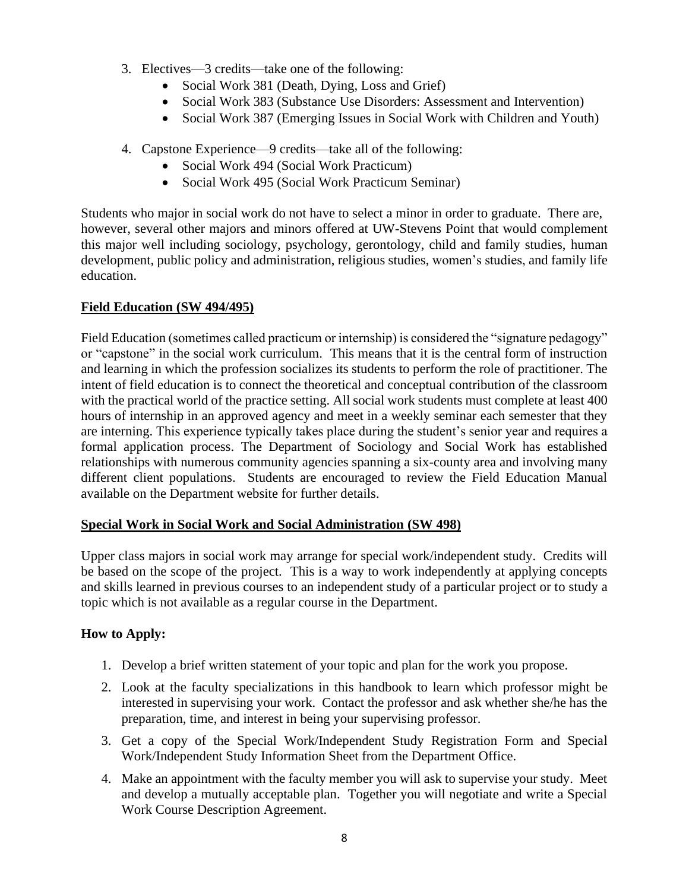- 3. Electives—3 credits—take one of the following:
	- Social Work 381 (Death, Dying, Loss and Grief)
	- Social Work 383 (Substance Use Disorders: Assessment and Intervention)
	- Social Work 387 (Emerging Issues in Social Work with Children and Youth)
- 4. Capstone Experience—9 credits—take all of the following:
	- Social Work 494 (Social Work Practicum)
	- Social Work 495 (Social Work Practicum Seminar)

Students who major in social work do not have to select a minor in order to graduate. There are, however, several other majors and minors offered at UW-Stevens Point that would complement this major well including sociology, psychology, gerontology, child and family studies, human development, public policy and administration, religious studies, women's studies, and family life education.

# **Field Education (SW 494/495)**

Field Education (sometimes called practicum or internship) is considered the "signature pedagogy" or "capstone" in the social work curriculum. This means that it is the central form of instruction and learning in which the profession socializes its students to perform the role of practitioner. The intent of field education is to connect the theoretical and conceptual contribution of the classroom with the practical world of the practice setting. All social work students must complete at least 400 hours of internship in an approved agency and meet in a weekly seminar each semester that they are interning. This experience typically takes place during the student's senior year and requires a formal application process. The Department of Sociology and Social Work has established relationships with numerous community agencies spanning a six-county area and involving many different client populations. Students are encouraged to review the Field Education Manual available on the Department website for further details.

## **Special Work in Social Work and Social Administration (SW 498)**

Upper class majors in social work may arrange for special work/independent study. Credits will be based on the scope of the project. This is a way to work independently at applying concepts and skills learned in previous courses to an independent study of a particular project or to study a topic which is not available as a regular course in the Department.

## **How to Apply:**

- 1. Develop a brief written statement of your topic and plan for the work you propose.
- 2. Look at the faculty specializations in this handbook to learn which professor might be interested in supervising your work. Contact the professor and ask whether she/he has the preparation, time, and interest in being your supervising professor.
- 3. Get a copy of the Special Work/Independent Study Registration Form and Special Work/Independent Study Information Sheet from the Department Office.
- 4. Make an appointment with the faculty member you will ask to supervise your study. Meet and develop a mutually acceptable plan. Together you will negotiate and write a Special Work Course Description Agreement.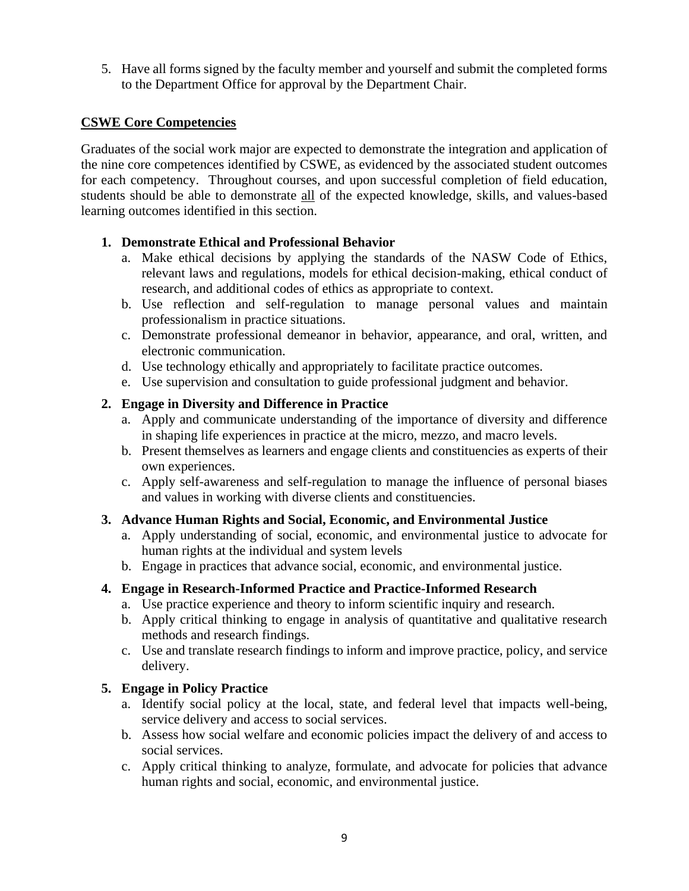5. Have all forms signed by the faculty member and yourself and submit the completed forms to the Department Office for approval by the Department Chair.

## **CSWE Core Competencies**

Graduates of the social work major are expected to demonstrate the integration and application of the nine core competences identified by CSWE, as evidenced by the associated student outcomes for each competency. Throughout courses, and upon successful completion of field education, students should be able to demonstrate all of the expected knowledge, skills, and values-based learning outcomes identified in this section.

# **1. Demonstrate Ethical and Professional Behavior**

- a. Make ethical decisions by applying the standards of the NASW Code of Ethics, relevant laws and regulations, models for ethical decision-making, ethical conduct of research, and additional codes of ethics as appropriate to context.
- b. Use reflection and self-regulation to manage personal values and maintain professionalism in practice situations.
- c. Demonstrate professional demeanor in behavior, appearance, and oral, written, and electronic communication.
- d. Use technology ethically and appropriately to facilitate practice outcomes.
- e. Use supervision and consultation to guide professional judgment and behavior.

# **2. Engage in Diversity and Difference in Practice**

- a. Apply and communicate understanding of the importance of diversity and difference in shaping life experiences in practice at the micro, mezzo, and macro levels.
- b. Present themselves as learners and engage clients and constituencies as experts of their own experiences.
- c. Apply self-awareness and self-regulation to manage the influence of personal biases and values in working with diverse clients and constituencies.

## **3. Advance Human Rights and Social, Economic, and Environmental Justice**

- a. Apply understanding of social, economic, and environmental justice to advocate for human rights at the individual and system levels
- b. Engage in practices that advance social, economic, and environmental justice.

# **4. Engage in Research-Informed Practice and Practice-Informed Research**

- a. Use practice experience and theory to inform scientific inquiry and research.
- b. Apply critical thinking to engage in analysis of quantitative and qualitative research methods and research findings.
- c. Use and translate research findings to inform and improve practice, policy, and service delivery.

## **5. Engage in Policy Practice**

- a. Identify social policy at the local, state, and federal level that impacts well-being, service delivery and access to social services.
- b. Assess how social welfare and economic policies impact the delivery of and access to social services.
- c. Apply critical thinking to analyze, formulate, and advocate for policies that advance human rights and social, economic, and environmental justice.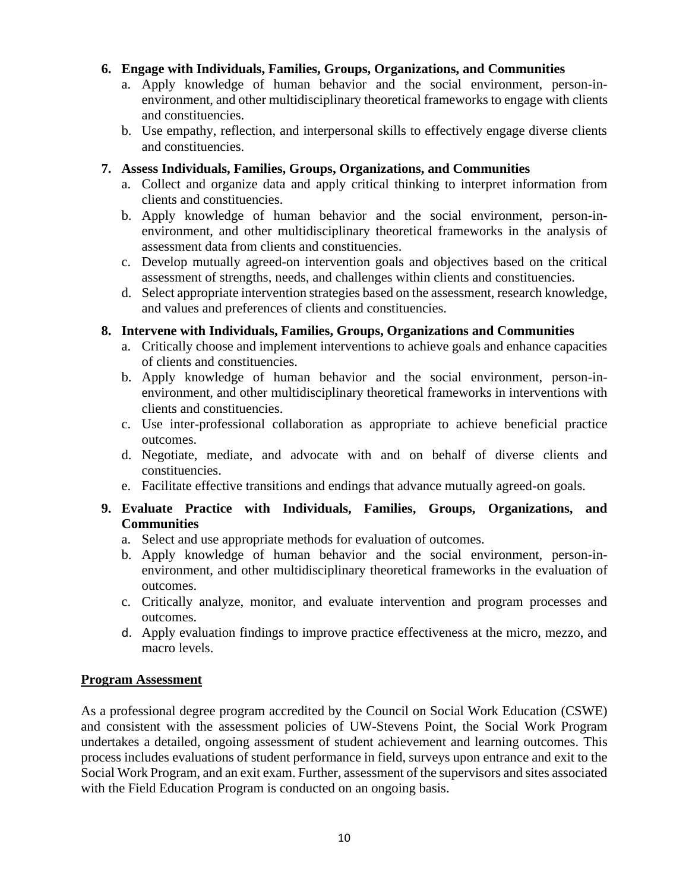#### **6. Engage with Individuals, Families, Groups, Organizations, and Communities**

- a. Apply knowledge of human behavior and the social environment, person-inenvironment, and other multidisciplinary theoretical frameworks to engage with clients and constituencies.
- b. Use empathy, reflection, and interpersonal skills to effectively engage diverse clients and constituencies.

#### **7. Assess Individuals, Families, Groups, Organizations, and Communities**

- a. Collect and organize data and apply critical thinking to interpret information from clients and constituencies.
- b. Apply knowledge of human behavior and the social environment, person-inenvironment, and other multidisciplinary theoretical frameworks in the analysis of assessment data from clients and constituencies.
- c. Develop mutually agreed-on intervention goals and objectives based on the critical assessment of strengths, needs, and challenges within clients and constituencies.
- d. Select appropriate intervention strategies based on the assessment, research knowledge, and values and preferences of clients and constituencies.

#### **8. Intervene with Individuals, Families, Groups, Organizations and Communities**

- a. Critically choose and implement interventions to achieve goals and enhance capacities of clients and constituencies.
- b. Apply knowledge of human behavior and the social environment, person-inenvironment, and other multidisciplinary theoretical frameworks in interventions with clients and constituencies.
- c. Use inter-professional collaboration as appropriate to achieve beneficial practice outcomes.
- d. Negotiate, mediate, and advocate with and on behalf of diverse clients and constituencies.
- e. Facilitate effective transitions and endings that advance mutually agreed-on goals.

#### **9. Evaluate Practice with Individuals, Families, Groups, Organizations, and Communities**

- a. Select and use appropriate methods for evaluation of outcomes.
- b. Apply knowledge of human behavior and the social environment, person-inenvironment, and other multidisciplinary theoretical frameworks in the evaluation of outcomes.
- c. Critically analyze, monitor, and evaluate intervention and program processes and outcomes.
- d. Apply evaluation findings to improve practice effectiveness at the micro, mezzo, and macro levels.

#### **Program Assessment**

As a professional degree program accredited by the Council on Social Work Education (CSWE) and consistent with the assessment policies of UW-Stevens Point, the Social Work Program undertakes a detailed, ongoing assessment of student achievement and learning outcomes. This process includes evaluations of student performance in field, surveys upon entrance and exit to the Social Work Program, and an exit exam. Further, assessment of the supervisors and sites associated with the Field Education Program is conducted on an ongoing basis.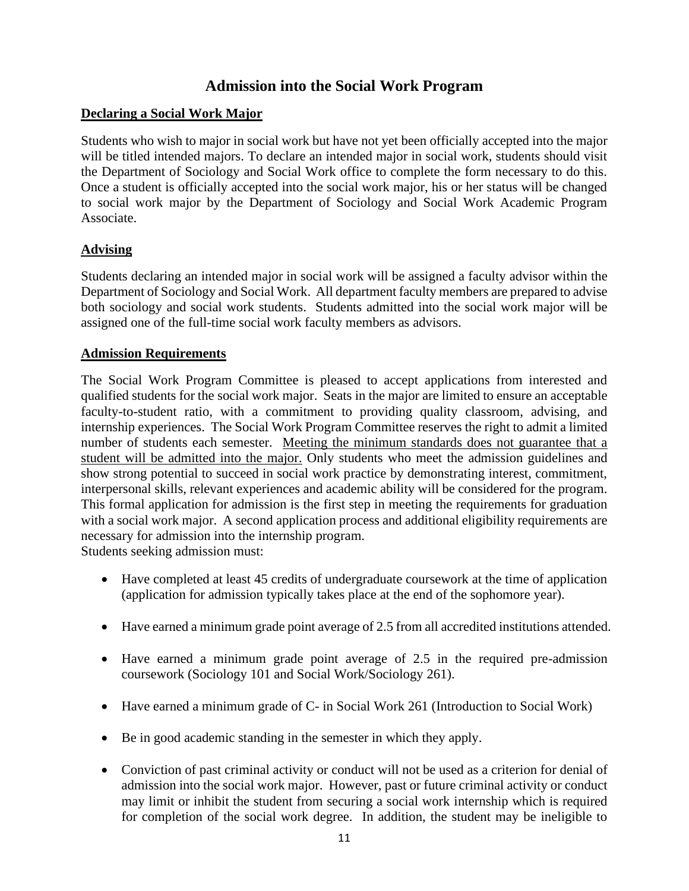# **Admission into the Social Work Program**

## **Declaring a Social Work Major**

Students who wish to major in social work but have not yet been officially accepted into the major will be titled intended majors. To declare an intended major in social work, students should visit the Department of Sociology and Social Work office to complete the form necessary to do this. Once a student is officially accepted into the social work major, his or her status will be changed to social work major by the Department of Sociology and Social Work Academic Program Associate.

# **Advising**

Students declaring an intended major in social work will be assigned a faculty advisor within the Department of Sociology and Social Work. All department faculty members are prepared to advise both sociology and social work students. Students admitted into the social work major will be assigned one of the full-time social work faculty members as advisors.

## **Admission Requirements**

The Social Work Program Committee is pleased to accept applications from interested and qualified students for the social work major. Seats in the major are limited to ensure an acceptable faculty-to-student ratio, with a commitment to providing quality classroom, advising, and internship experiences. The Social Work Program Committee reserves the right to admit a limited number of students each semester. Meeting the minimum standards does not guarantee that a student will be admitted into the major. Only students who meet the admission guidelines and show strong potential to succeed in social work practice by demonstrating interest, commitment, interpersonal skills, relevant experiences and academic ability will be considered for the program. This formal application for admission is the first step in meeting the requirements for graduation with a social work major. A second application process and additional eligibility requirements are necessary for admission into the internship program. Students seeking admission must:

- Have completed at least 45 credits of undergraduate coursework at the time of application (application for admission typically takes place at the end of the sophomore year).
- Have earned a minimum grade point average of 2.5 from all accredited institutions attended.
- Have earned a minimum grade point average of 2.5 in the required pre-admission coursework (Sociology 101 and Social Work/Sociology 261).
- Have earned a minimum grade of C- in Social Work 261 (Introduction to Social Work)
- Be in good academic standing in the semester in which they apply.
- Conviction of past criminal activity or conduct will not be used as a criterion for denial of admission into the social work major. However, past or future criminal activity or conduct may limit or inhibit the student from securing a social work internship which is required for completion of the social work degree. In addition, the student may be ineligible to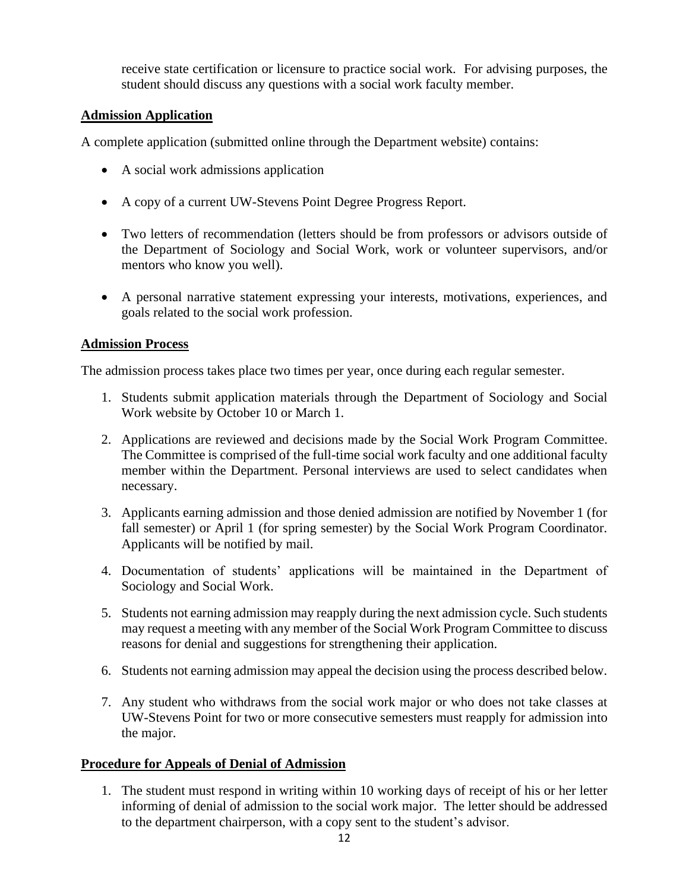receive state certification or licensure to practice social work. For advising purposes, the student should discuss any questions with a social work faculty member.

## **Admission Application**

A complete application (submitted online through the Department website) contains:

- A social work admissions application
- A copy of a current UW-Stevens Point Degree Progress Report.
- Two letters of recommendation (letters should be from professors or advisors outside of the Department of Sociology and Social Work, work or volunteer supervisors, and/or mentors who know you well).
- A personal narrative statement expressing your interests, motivations, experiences, and goals related to the social work profession.

# **Admission Process**

The admission process takes place two times per year, once during each regular semester.

- 1. Students submit application materials through the Department of Sociology and Social Work website by October 10 or March 1.
- 2. Applications are reviewed and decisions made by the Social Work Program Committee. The Committee is comprised of the full-time social work faculty and one additional faculty member within the Department. Personal interviews are used to select candidates when necessary.
- 3. Applicants earning admission and those denied admission are notified by November 1 (for fall semester) or April 1 (for spring semester) by the Social Work Program Coordinator. Applicants will be notified by mail.
- 4. Documentation of students' applications will be maintained in the Department of Sociology and Social Work.
- 5. Students not earning admission may reapply during the next admission cycle. Such students may request a meeting with any member of the Social Work Program Committee to discuss reasons for denial and suggestions for strengthening their application.
- 6. Students not earning admission may appeal the decision using the process described below.
- 7. Any student who withdraws from the social work major or who does not take classes at UW-Stevens Point for two or more consecutive semesters must reapply for admission into the major.

# **Procedure for Appeals of Denial of Admission**

1. The student must respond in writing within 10 working days of receipt of his or her letter informing of denial of admission to the social work major. The letter should be addressed to the department chairperson, with a copy sent to the student's advisor.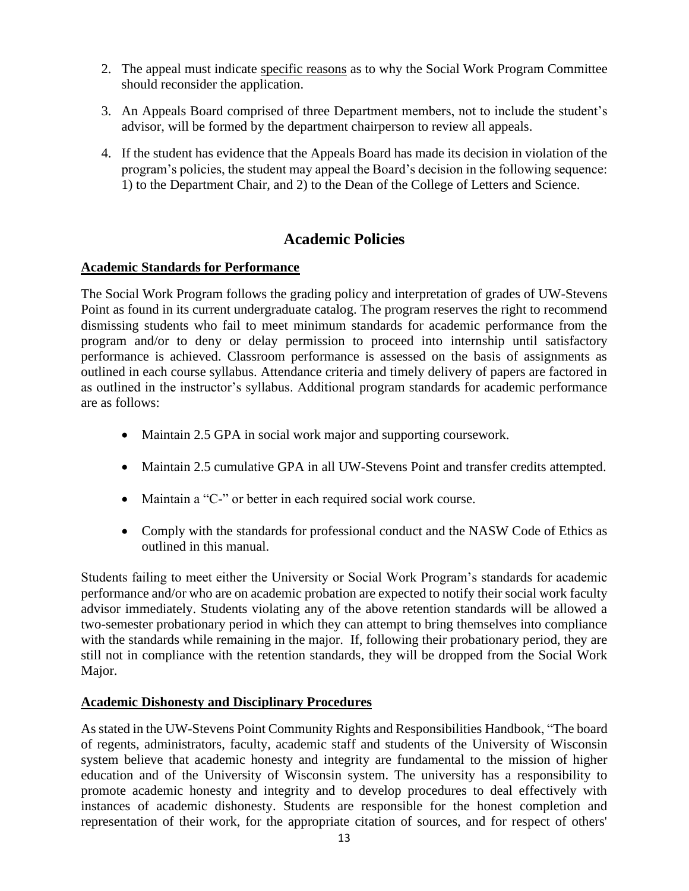- 2. The appeal must indicate specific reasons as to why the Social Work Program Committee should reconsider the application.
- 3. An Appeals Board comprised of three Department members, not to include the student's advisor, will be formed by the department chairperson to review all appeals.
- 4. If the student has evidence that the Appeals Board has made its decision in violation of the program's policies, the student may appeal the Board's decision in the following sequence: 1) to the Department Chair, and 2) to the Dean of the College of Letters and Science.

# **Academic Policies**

#### **Academic Standards for Performance**

The Social Work Program follows the grading policy and interpretation of grades of UW-Stevens Point as found in its current undergraduate catalog. The program reserves the right to recommend dismissing students who fail to meet minimum standards for academic performance from the program and/or to deny or delay permission to proceed into internship until satisfactory performance is achieved. Classroom performance is assessed on the basis of assignments as outlined in each course syllabus. Attendance criteria and timely delivery of papers are factored in as outlined in the instructor's syllabus. Additional program standards for academic performance are as follows:

- Maintain 2.5 GPA in social work major and supporting coursework.
- Maintain 2.5 cumulative GPA in all UW-Stevens Point and transfer credits attempted.
- Maintain a "C-" or better in each required social work course.
- Comply with the standards for professional conduct and the NASW Code of Ethics as outlined in this manual.

Students failing to meet either the University or Social Work Program's standards for academic performance and/or who are on academic probation are expected to notify their social work faculty advisor immediately. Students violating any of the above retention standards will be allowed a two-semester probationary period in which they can attempt to bring themselves into compliance with the standards while remaining in the major. If, following their probationary period, they are still not in compliance with the retention standards, they will be dropped from the Social Work Major.

## **Academic Dishonesty and Disciplinary Procedures**

As stated in the UW-Stevens Point Community Rights and Responsibilities Handbook, "The board of regents, administrators, faculty, academic staff and students of the University of Wisconsin system believe that academic honesty and integrity are fundamental to the mission of higher education and of the University of Wisconsin system. The university has a responsibility to promote academic honesty and integrity and to develop procedures to deal effectively with instances of academic dishonesty. Students are responsible for the honest completion and representation of their work, for the appropriate citation of sources, and for respect of others'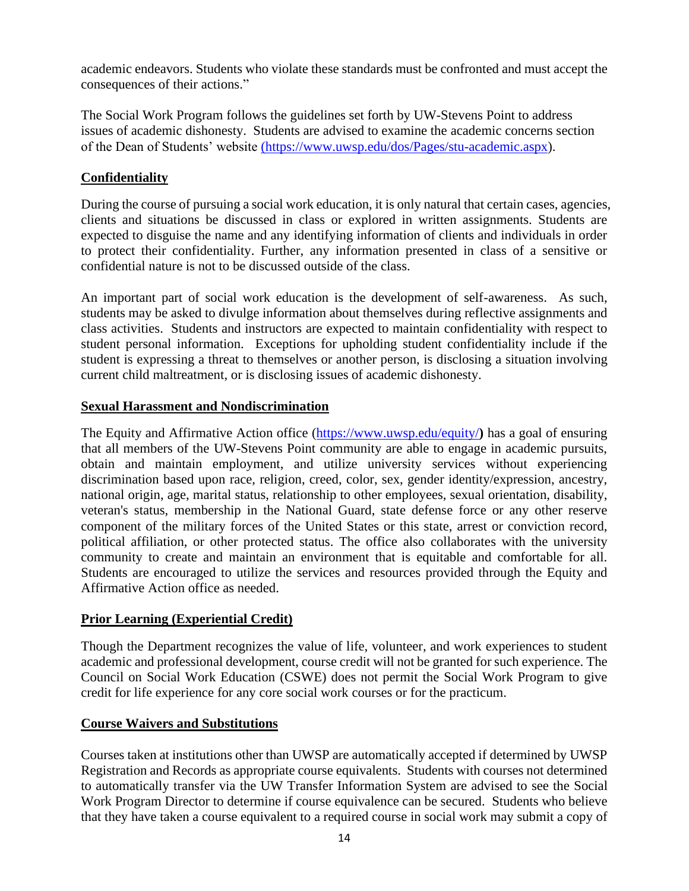academic endeavors. Students who violate these standards must be confronted and must accept the consequences of their actions."

The Social Work Program follows the guidelines set forth by UW-Stevens Point to address issues of academic dishonesty. Students are advised to examine the academic concerns section of the Dean of Students' website [\(https://www.uwsp.edu/dos/Pages/stu-academic.aspx\)](https://uwspedu.sharepoint.com/sites/WLLandSOCSWShared/Shared%20Documents/SocSW/Social%20Work%20and%20Sociology/Social%20Work/(https:/www.uwsp.edu/dos/Pages/stu-academic.aspx).

# **Confidentiality**

During the course of pursuing a social work education, it is only natural that certain cases, agencies, clients and situations be discussed in class or explored in written assignments. Students are expected to disguise the name and any identifying information of clients and individuals in order to protect their confidentiality. Further, any information presented in class of a sensitive or confidential nature is not to be discussed outside of the class.

An important part of social work education is the development of self-awareness. As such, students may be asked to divulge information about themselves during reflective assignments and class activities. Students and instructors are expected to maintain confidentiality with respect to student personal information. Exceptions for upholding student confidentiality include if the student is expressing a threat to themselves or another person, is disclosing a situation involving current child maltreatment, or is disclosing issues of academic dishonesty.

## **Sexual Harassment and Nondiscrimination**

The Equity and Affirmative Action office [\(https://www.uwsp.edu/equity/](https://www.uwsp.edu/equity/)**)** has a goal of ensuring that all members of the UW-Stevens Point community are able to engage in academic pursuits, obtain and maintain employment, and utilize university services without experiencing discrimination based upon race, religion, creed, color, sex, gender identity/expression, ancestry, national origin, age, marital status, relationship to other employees, sexual orientation, disability, veteran's status, membership in the National Guard, state defense force or any other reserve component of the military forces of the United States or this state, arrest or conviction record, political affiliation, or other protected status. The office also collaborates with the university community to create and maintain an environment that is equitable and comfortable for all. Students are encouraged to utilize the services and resources provided through the Equity and Affirmative Action office as needed.

## **Prior Learning (Experiential Credit)**

Though the Department recognizes the value of life, volunteer, and work experiences to student academic and professional development, course credit will not be granted for such experience. The Council on Social Work Education (CSWE) does not permit the Social Work Program to give credit for life experience for any core social work courses or for the practicum.

## **Course Waivers and Substitutions**

Courses taken at institutions other than UWSP are automatically accepted if determined by UWSP Registration and Records as appropriate course equivalents. Students with courses not determined to automatically transfer via the UW Transfer Information System are advised to see the Social Work Program Director to determine if course equivalence can be secured. Students who believe that they have taken a course equivalent to a required course in social work may submit a copy of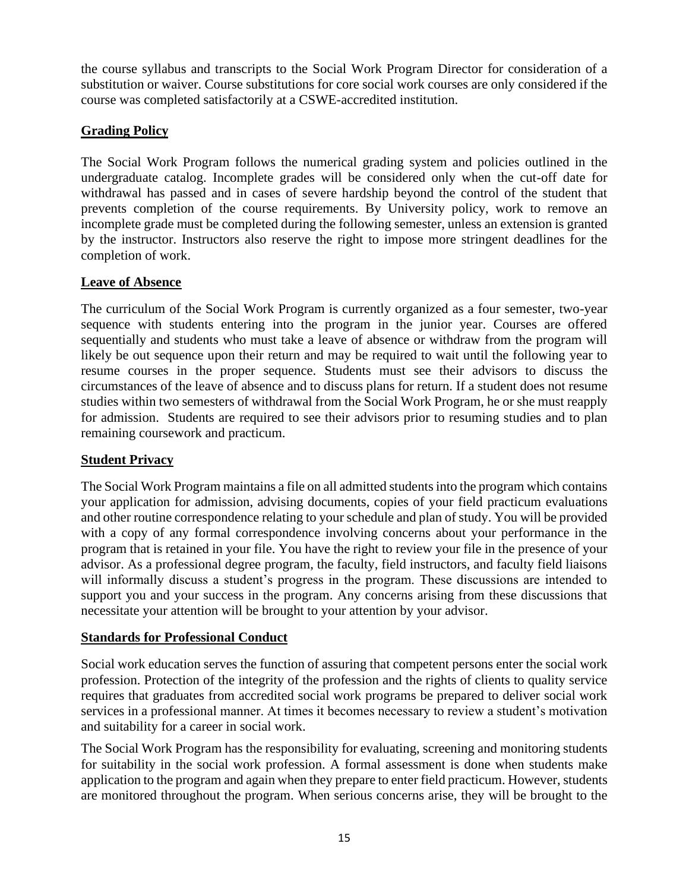the course syllabus and transcripts to the Social Work Program Director for consideration of a substitution or waiver. Course substitutions for core social work courses are only considered if the course was completed satisfactorily at a CSWE-accredited institution.

# **Grading Policy**

The Social Work Program follows the numerical grading system and policies outlined in the undergraduate catalog. Incomplete grades will be considered only when the cut-off date for withdrawal has passed and in cases of severe hardship beyond the control of the student that prevents completion of the course requirements. By University policy, work to remove an incomplete grade must be completed during the following semester, unless an extension is granted by the instructor. Instructors also reserve the right to impose more stringent deadlines for the completion of work.

# **Leave of Absence**

The curriculum of the Social Work Program is currently organized as a four semester, two-year sequence with students entering into the program in the junior year. Courses are offered sequentially and students who must take a leave of absence or withdraw from the program will likely be out sequence upon their return and may be required to wait until the following year to resume courses in the proper sequence. Students must see their advisors to discuss the circumstances of the leave of absence and to discuss plans for return. If a student does not resume studies within two semesters of withdrawal from the Social Work Program, he or she must reapply for admission. Students are required to see their advisors prior to resuming studies and to plan remaining coursework and practicum.

## **Student Privacy**

The Social Work Program maintains a file on all admitted students into the program which contains your application for admission, advising documents, copies of your field practicum evaluations and other routine correspondence relating to your schedule and plan of study. You will be provided with a copy of any formal correspondence involving concerns about your performance in the program that is retained in your file. You have the right to review your file in the presence of your advisor. As a professional degree program, the faculty, field instructors, and faculty field liaisons will informally discuss a student's progress in the program. These discussions are intended to support you and your success in the program. Any concerns arising from these discussions that necessitate your attention will be brought to your attention by your advisor.

## **Standards for Professional Conduct**

Social work education serves the function of assuring that competent persons enter the social work profession. Protection of the integrity of the profession and the rights of clients to quality service requires that graduates from accredited social work programs be prepared to deliver social work services in a professional manner. At times it becomes necessary to review a student's motivation and suitability for a career in social work.

The Social Work Program has the responsibility for evaluating, screening and monitoring students for suitability in the social work profession. A formal assessment is done when students make application to the program and again when they prepare to enter field practicum. However, students are monitored throughout the program. When serious concerns arise, they will be brought to the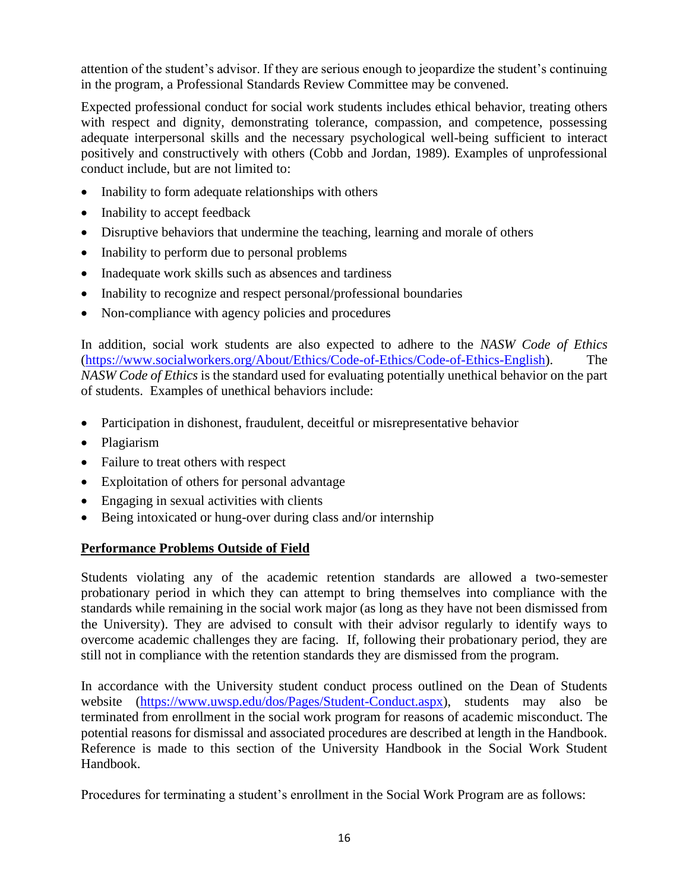attention of the student's advisor. If they are serious enough to jeopardize the student's continuing in the program, a Professional Standards Review Committee may be convened.

Expected professional conduct for social work students includes ethical behavior, treating others with respect and dignity, demonstrating tolerance, compassion, and competence, possessing adequate interpersonal skills and the necessary psychological well-being sufficient to interact positively and constructively with others (Cobb and Jordan, 1989). Examples of unprofessional conduct include, but are not limited to:

- Inability to form adequate relationships with others
- Inability to accept feedback
- Disruptive behaviors that undermine the teaching, learning and morale of others
- Inability to perform due to personal problems
- Inadequate work skills such as absences and tardiness
- Inability to recognize and respect personal/professional boundaries
- Non-compliance with agency policies and procedures

In addition, social work students are also expected to adhere to the *NASW Code of Ethics* [\(https://www.socialworkers.org/About/Ethics/Code-of-Ethics/Code-of-Ethics-English\)](https://www.socialworkers.org/About/Ethics/Code-of-Ethics/Code-of-Ethics-English). The *NASW Code of Ethics* is the standard used for evaluating potentially unethical behavior on the part of students. Examples of unethical behaviors include:

- Participation in dishonest, fraudulent, deceitful or misrepresentative behavior
- Plagiarism
- Failure to treat others with respect
- Exploitation of others for personal advantage
- Engaging in sexual activities with clients
- Being intoxicated or hung-over during class and/or internship

## **Performance Problems Outside of Field**

Students violating any of the academic retention standards are allowed a two-semester probationary period in which they can attempt to bring themselves into compliance with the standards while remaining in the social work major (as long as they have not been dismissed from the University). They are advised to consult with their advisor regularly to identify ways to overcome academic challenges they are facing. If, following their probationary period, they are still not in compliance with the retention standards they are dismissed from the program.

In accordance with the University student conduct process outlined on the Dean of Students website (https://www.uwsp.edu/dos/Pages/Student-Conduct.aspx), students may also be terminated from enrollment in the social work program for reasons of academic misconduct. The potential reasons for dismissal and associated procedures are described at length in the Handbook. Reference is made to this section of the University Handbook in the Social Work Student Handbook.

Procedures for terminating a student's enrollment in the Social Work Program are as follows: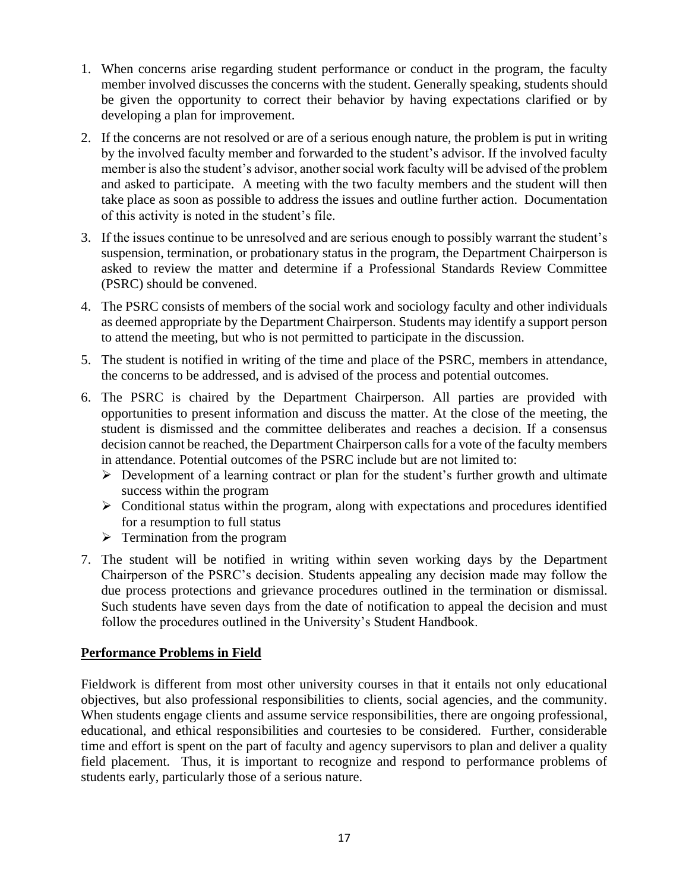- 1. When concerns arise regarding student performance or conduct in the program, the faculty member involved discusses the concerns with the student. Generally speaking, students should be given the opportunity to correct their behavior by having expectations clarified or by developing a plan for improvement.
- 2. If the concerns are not resolved or are of a serious enough nature, the problem is put in writing by the involved faculty member and forwarded to the student's advisor. If the involved faculty member is also the student's advisor, another social work faculty will be advised of the problem and asked to participate. A meeting with the two faculty members and the student will then take place as soon as possible to address the issues and outline further action. Documentation of this activity is noted in the student's file.
- 3. If the issues continue to be unresolved and are serious enough to possibly warrant the student's suspension, termination, or probationary status in the program, the Department Chairperson is asked to review the matter and determine if a Professional Standards Review Committee (PSRC) should be convened.
- 4. The PSRC consists of members of the social work and sociology faculty and other individuals as deemed appropriate by the Department Chairperson. Students may identify a support person to attend the meeting, but who is not permitted to participate in the discussion.
- 5. The student is notified in writing of the time and place of the PSRC, members in attendance, the concerns to be addressed, and is advised of the process and potential outcomes.
- 6. The PSRC is chaired by the Department Chairperson. All parties are provided with opportunities to present information and discuss the matter. At the close of the meeting, the student is dismissed and the committee deliberates and reaches a decision. If a consensus decision cannot be reached, the Department Chairperson calls for a vote of the faculty members in attendance. Potential outcomes of the PSRC include but are not limited to:
	- $\triangleright$  Development of a learning contract or plan for the student's further growth and ultimate success within the program
	- ➢ Conditional status within the program, along with expectations and procedures identified for a resumption to full status
	- $\triangleright$  Termination from the program
- 7. The student will be notified in writing within seven working days by the Department Chairperson of the PSRC's decision. Students appealing any decision made may follow the due process protections and grievance procedures outlined in the termination or dismissal. Such students have seven days from the date of notification to appeal the decision and must follow the procedures outlined in the University's Student Handbook.

## **Performance Problems in Field**

Fieldwork is different from most other university courses in that it entails not only educational objectives, but also professional responsibilities to clients, social agencies, and the community. When students engage clients and assume service responsibilities, there are ongoing professional, educational, and ethical responsibilities and courtesies to be considered. Further, considerable time and effort is spent on the part of faculty and agency supervisors to plan and deliver a quality field placement. Thus, it is important to recognize and respond to performance problems of students early, particularly those of a serious nature.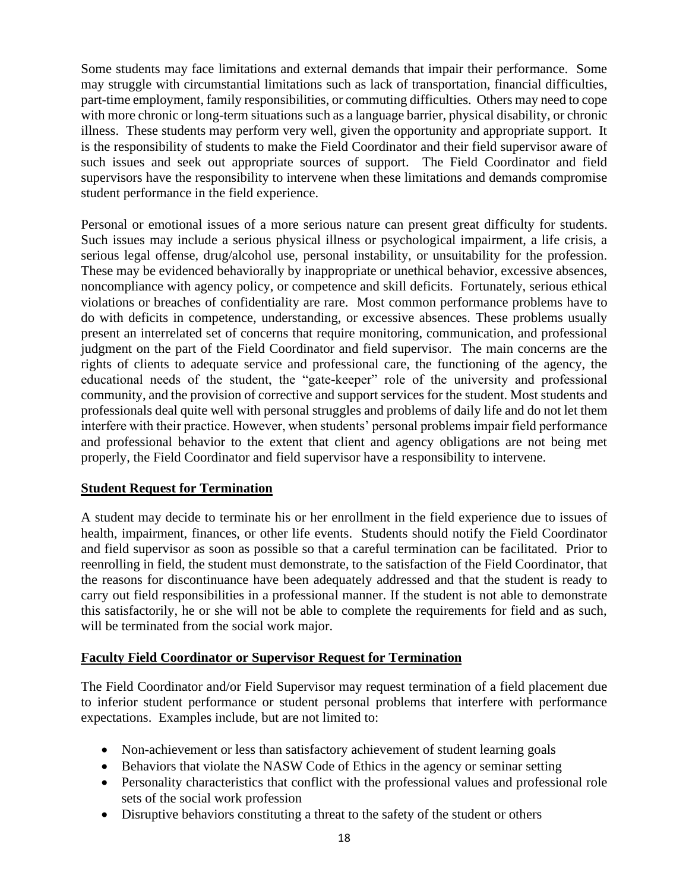Some students may face limitations and external demands that impair their performance. Some may struggle with circumstantial limitations such as lack of transportation, financial difficulties, part-time employment, family responsibilities, or commuting difficulties. Others may need to cope with more chronic or long-term situations such as a language barrier, physical disability, or chronic illness. These students may perform very well, given the opportunity and appropriate support. It is the responsibility of students to make the Field Coordinator and their field supervisor aware of such issues and seek out appropriate sources of support. The Field Coordinator and field supervisors have the responsibility to intervene when these limitations and demands compromise student performance in the field experience.

Personal or emotional issues of a more serious nature can present great difficulty for students. Such issues may include a serious physical illness or psychological impairment, a life crisis, a serious legal offense, drug/alcohol use, personal instability, or unsuitability for the profession. These may be evidenced behaviorally by inappropriate or unethical behavior, excessive absences, noncompliance with agency policy, or competence and skill deficits. Fortunately, serious ethical violations or breaches of confidentiality are rare. Most common performance problems have to do with deficits in competence, understanding, or excessive absences. These problems usually present an interrelated set of concerns that require monitoring, communication, and professional judgment on the part of the Field Coordinator and field supervisor. The main concerns are the rights of clients to adequate service and professional care, the functioning of the agency, the educational needs of the student, the "gate-keeper" role of the university and professional community, and the provision of corrective and support services for the student. Most students and professionals deal quite well with personal struggles and problems of daily life and do not let them interfere with their practice. However, when students' personal problems impair field performance and professional behavior to the extent that client and agency obligations are not being met properly, the Field Coordinator and field supervisor have a responsibility to intervene.

## **Student Request for Termination**

A student may decide to terminate his or her enrollment in the field experience due to issues of health, impairment, finances, or other life events. Students should notify the Field Coordinator and field supervisor as soon as possible so that a careful termination can be facilitated. Prior to reenrolling in field, the student must demonstrate, to the satisfaction of the Field Coordinator, that the reasons for discontinuance have been adequately addressed and that the student is ready to carry out field responsibilities in a professional manner. If the student is not able to demonstrate this satisfactorily, he or she will not be able to complete the requirements for field and as such, will be terminated from the social work major.

## **Faculty Field Coordinator or Supervisor Request for Termination**

The Field Coordinator and/or Field Supervisor may request termination of a field placement due to inferior student performance or student personal problems that interfere with performance expectations. Examples include, but are not limited to:

- Non-achievement or less than satisfactory achievement of student learning goals
- Behaviors that violate the NASW Code of Ethics in the agency or seminar setting
- Personality characteristics that conflict with the professional values and professional role sets of the social work profession
- Disruptive behaviors constituting a threat to the safety of the student or others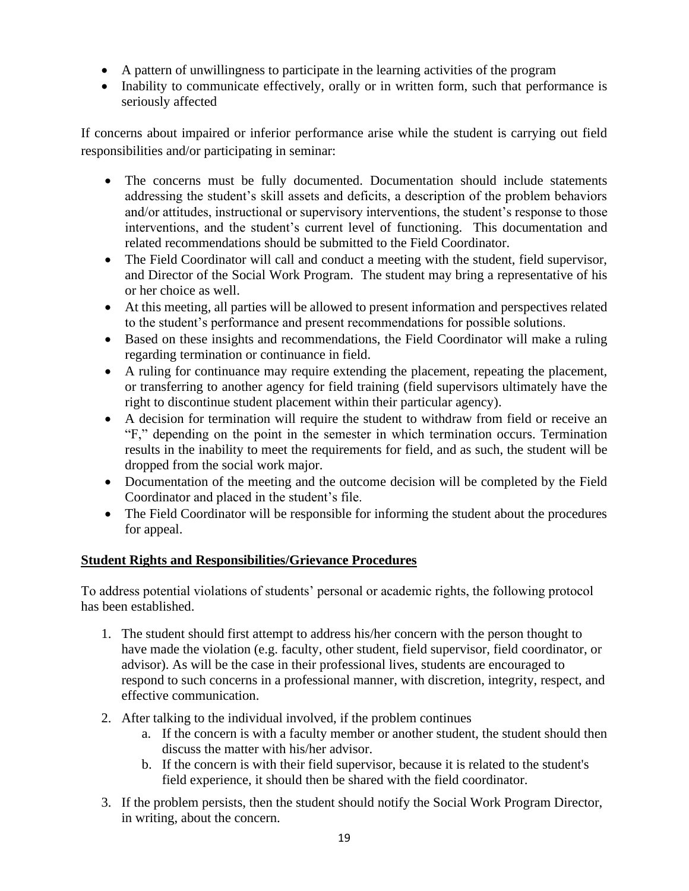- A pattern of unwillingness to participate in the learning activities of the program
- Inability to communicate effectively, orally or in written form, such that performance is seriously affected

If concerns about impaired or inferior performance arise while the student is carrying out field responsibilities and/or participating in seminar:

- The concerns must be fully documented. Documentation should include statements addressing the student's skill assets and deficits, a description of the problem behaviors and/or attitudes, instructional or supervisory interventions, the student's response to those interventions, and the student's current level of functioning. This documentation and related recommendations should be submitted to the Field Coordinator.
- The Field Coordinator will call and conduct a meeting with the student, field supervisor, and Director of the Social Work Program. The student may bring a representative of his or her choice as well.
- At this meeting, all parties will be allowed to present information and perspectives related to the student's performance and present recommendations for possible solutions.
- Based on these insights and recommendations, the Field Coordinator will make a ruling regarding termination or continuance in field.
- A ruling for continuance may require extending the placement, repeating the placement, or transferring to another agency for field training (field supervisors ultimately have the right to discontinue student placement within their particular agency).
- A decision for termination will require the student to withdraw from field or receive an "F," depending on the point in the semester in which termination occurs. Termination results in the inability to meet the requirements for field, and as such, the student will be dropped from the social work major.
- Documentation of the meeting and the outcome decision will be completed by the Field Coordinator and placed in the student's file.
- The Field Coordinator will be responsible for informing the student about the procedures for appeal.

# **Student Rights and Responsibilities/Grievance Procedures**

To address potential violations of students' personal or academic rights, the following protocol has been established.

- 1. The student should first attempt to address his/her concern with the person thought to have made the violation (e.g. faculty, other student, field supervisor, field coordinator, or advisor). As will be the case in their professional lives, students are encouraged to respond to such concerns in a professional manner, with discretion, integrity, respect, and effective communication.
- 2. After talking to the individual involved, if the problem continues
	- a. If the concern is with a faculty member or another student, the student should then discuss the matter with his/her advisor.
	- b. If the concern is with their field supervisor, because it is related to the student's field experience, it should then be shared with the field coordinator.
- 3. If the problem persists, then the student should notify the Social Work Program Director, in writing, about the concern.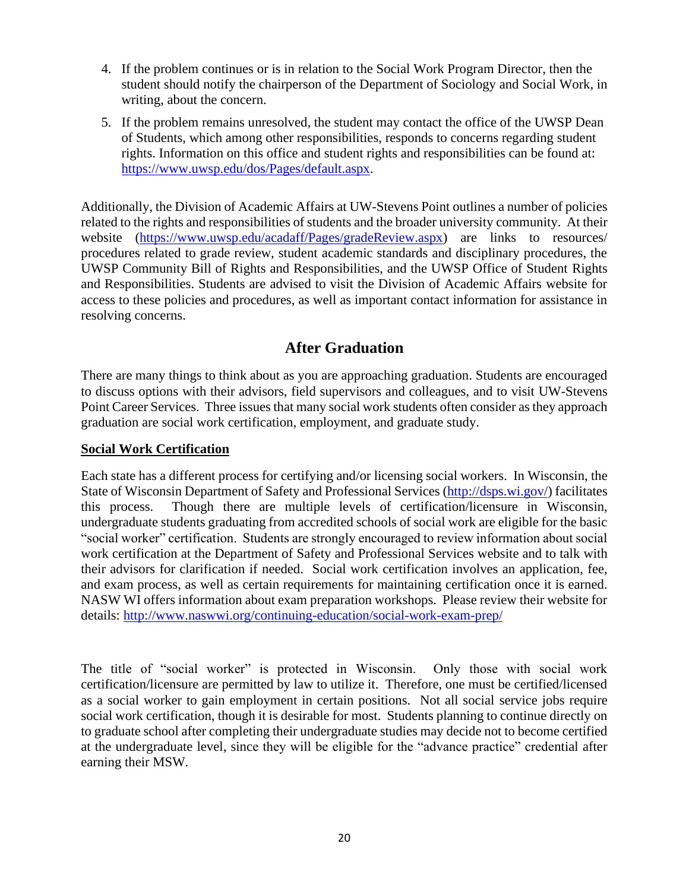- 4. If the problem continues or is in relation to the Social Work Program Director, then the student should notify the chairperson of the Department of Sociology and Social Work, in writing, about the concern.
- 5. If the problem remains unresolved, the student may contact the office of the UWSP Dean of Students, which among other responsibilities, responds to concerns regarding student rights. Information on this office and student rights and responsibilities can be found at: [https://www.uwsp.edu/dos/Pages/default.aspx.](https://www.uwsp.edu/dos/Pages/default.aspx)

Additionally, the Division of Academic Affairs at UW-Stevens Point outlines a number of policies related to the rights and responsibilities of students and the broader university community. At their website [\(https://www.uwsp.edu/acadaff/Pages/gradeReview.aspx\)](https://www.uwsp.edu/acadaff/Pages/gradeReview.aspx) are links to resources/ procedures related to grade review, student academic standards and disciplinary procedures, the UWSP Community Bill of Rights and Responsibilities, and the UWSP Office of Student Rights and Responsibilities. Students are advised to visit the Division of Academic Affairs website for access to these policies and procedures, as well as important contact information for assistance in resolving concerns.

# **After Graduation**

There are many things to think about as you are approaching graduation. Students are encouraged to discuss options with their advisors, field supervisors and colleagues, and to visit UW-Stevens Point Career Services. Three issues that many social work students often consider as they approach graduation are social work certification, employment, and graduate study.

#### **Social Work Certification**

Each state has a different process for certifying and/or licensing social workers. In Wisconsin, the State of Wisconsin Department of Safety and Professional Services [\(http://dsps.wi.gov/\)](http://dsps.wi.gov/) facilitates this process. Though there are multiple levels of certification/licensure in Wisconsin, undergraduate students graduating from accredited schools of social work are eligible for the basic "social worker" certification. Students are strongly encouraged to review information about social work certification at the Department of Safety and Professional Services website and to talk with their advisors for clarification if needed. Social work certification involves an application, fee, and exam process, as well as certain requirements for maintaining certification once it is earned. NASW WI offers information about exam preparation workshops. Please review their website for details: <http://www.naswwi.org/continuing-education/social-work-exam-prep/>

The title of "social worker" is protected in Wisconsin. Only those with social work certification/licensure are permitted by law to utilize it. Therefore, one must be certified/licensed as a social worker to gain employment in certain positions. Not all social service jobs require social work certification, though it is desirable for most. Students planning to continue directly on to graduate school after completing their undergraduate studies may decide not to become certified at the undergraduate level, since they will be eligible for the "advance practice" credential after earning their MSW.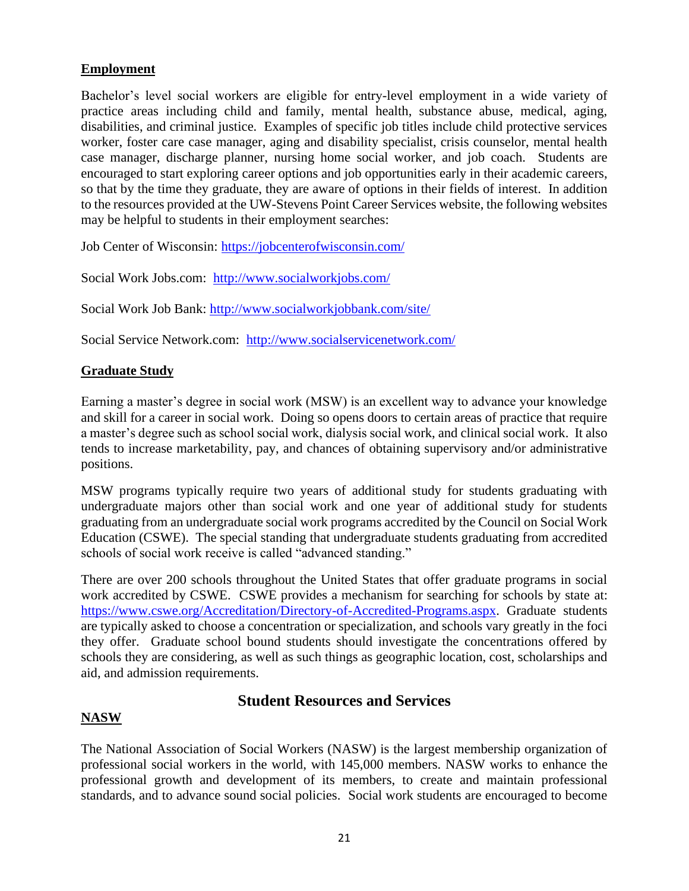## **Employment**

Bachelor's level social workers are eligible for entry-level employment in a wide variety of practice areas including child and family, mental health, substance abuse, medical, aging, disabilities, and criminal justice. Examples of specific job titles include child protective services worker, foster care case manager, aging and disability specialist, crisis counselor, mental health case manager, discharge planner, nursing home social worker, and job coach. Students are encouraged to start exploring career options and job opportunities early in their academic careers, so that by the time they graduate, they are aware of options in their fields of interest. In addition to the resources provided at the UW-Stevens Point Career Services website, the following websites may be helpful to students in their employment searches:

Job Center of Wisconsin:<https://jobcenterofwisconsin.com/>

Social Work Jobs.com: <http://www.socialworkjobs.com/>

Social Work Job Bank:<http://www.socialworkjobbank.com/site/>

Social Service Network.com: <http://www.socialservicenetwork.com/>

## **Graduate Study**

Earning a master's degree in social work (MSW) is an excellent way to advance your knowledge and skill for a career in social work. Doing so opens doors to certain areas of practice that require a master's degree such as school social work, dialysis social work, and clinical social work. It also tends to increase marketability, pay, and chances of obtaining supervisory and/or administrative positions.

MSW programs typically require two years of additional study for students graduating with undergraduate majors other than social work and one year of additional study for students graduating from an undergraduate social work programs accredited by the Council on Social Work Education (CSWE). The special standing that undergraduate students graduating from accredited schools of social work receive is called "advanced standing."

There are over 200 schools throughout the United States that offer graduate programs in social work accredited by CSWE. CSWE provides a mechanism for searching for schools by state at: [https://www.cswe.org/Accreditation/Directory-of-Accredited-Programs.aspx.](https://www.cswe.org/Accreditation/Directory-of-Accredited-Programs.aspx) Graduate students are typically asked to choose a concentration or specialization, and schools vary greatly in the foci they offer. Graduate school bound students should investigate the concentrations offered by schools they are considering, as well as such things as geographic location, cost, scholarships and aid, and admission requirements.

# **Student Resources and Services**

## **NASW**

The National Association of Social Workers (NASW) is the largest membership organization of professional social workers in the world, with 145,000 members. NASW works to enhance the professional growth and development of its members, to create and maintain professional standards, and to advance sound social policies. Social work students are encouraged to become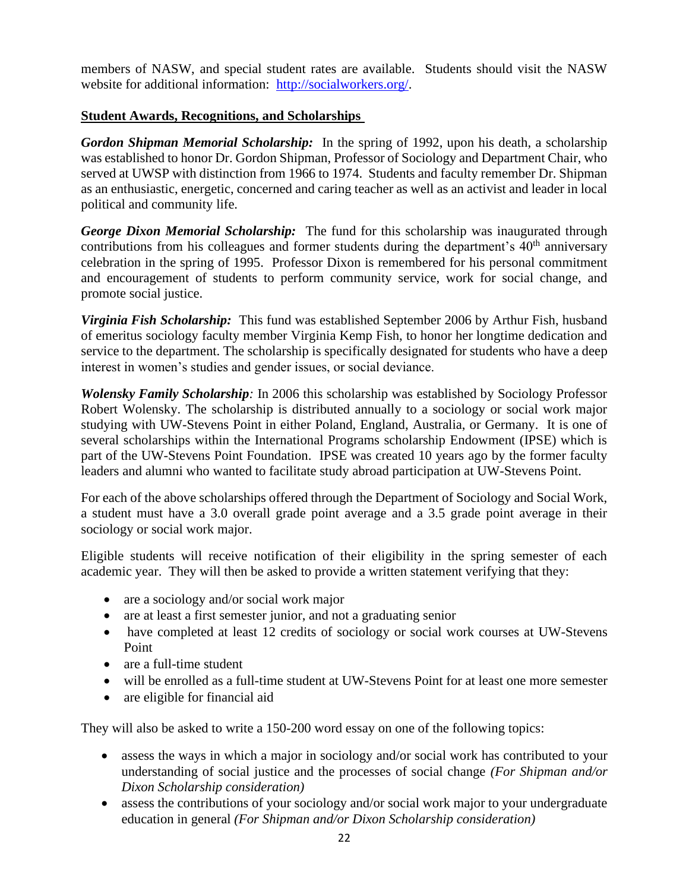members of NASW, and special student rates are available. Students should visit the NASW website for additional information: [http://socialworkers.org/.](http://socialworkers.org/)

## **Student Awards, Recognitions, and Scholarships**

*Gordon Shipman Memorial Scholarship:* In the spring of 1992, upon his death, a scholarship was established to honor Dr. Gordon Shipman, Professor of Sociology and Department Chair, who served at UWSP with distinction from 1966 to 1974. Students and faculty remember Dr. Shipman as an enthusiastic, energetic, concerned and caring teacher as well as an activist and leader in local political and community life.

*George Dixon Memorial Scholarship:* The fund for this scholarship was inaugurated through contributions from his colleagues and former students during the department's  $40<sup>th</sup>$  anniversary celebration in the spring of 1995. Professor Dixon is remembered for his personal commitment and encouragement of students to perform community service, work for social change, and promote social justice.

*Virginia Fish Scholarship:* This fund was established September 2006 by Arthur Fish, husband of emeritus sociology faculty member Virginia Kemp Fish, to honor her longtime dedication and service to the department. The scholarship is specifically designated for students who have a deep interest in women's studies and gender issues, or social deviance.

*Wolensky Family Scholarship:* In 2006 this scholarship was established by Sociology Professor Robert Wolensky. The scholarship is distributed annually to a sociology or social work major studying with UW-Stevens Point in either Poland, England, Australia, or Germany. It is one of several scholarships within the International Programs scholarship Endowment (IPSE) which is part of the UW-Stevens Point Foundation. IPSE was created 10 years ago by the former faculty leaders and alumni who wanted to facilitate study abroad participation at UW-Stevens Point.

For each of the above scholarships offered through the Department of Sociology and Social Work, a student must have a 3.0 overall grade point average and a 3.5 grade point average in their sociology or social work major.

Eligible students will receive notification of their eligibility in the spring semester of each academic year. They will then be asked to provide a written statement verifying that they:

- are a sociology and/or social work major
- are at least a first semester junior, and not a graduating senior
- have completed at least 12 credits of sociology or social work courses at UW-Stevens Point
- are a full-time student
- will be enrolled as a full-time student at UW-Stevens Point for at least one more semester
- are eligible for financial aid

They will also be asked to write a 150-200 word essay on one of the following topics:

- assess the ways in which a major in sociology and/or social work has contributed to your understanding of social justice and the processes of social change *(For Shipman and/or Dixon Scholarship consideration)*
- assess the contributions of your sociology and/or social work major to your undergraduate education in general *(For Shipman and/or Dixon Scholarship consideration)*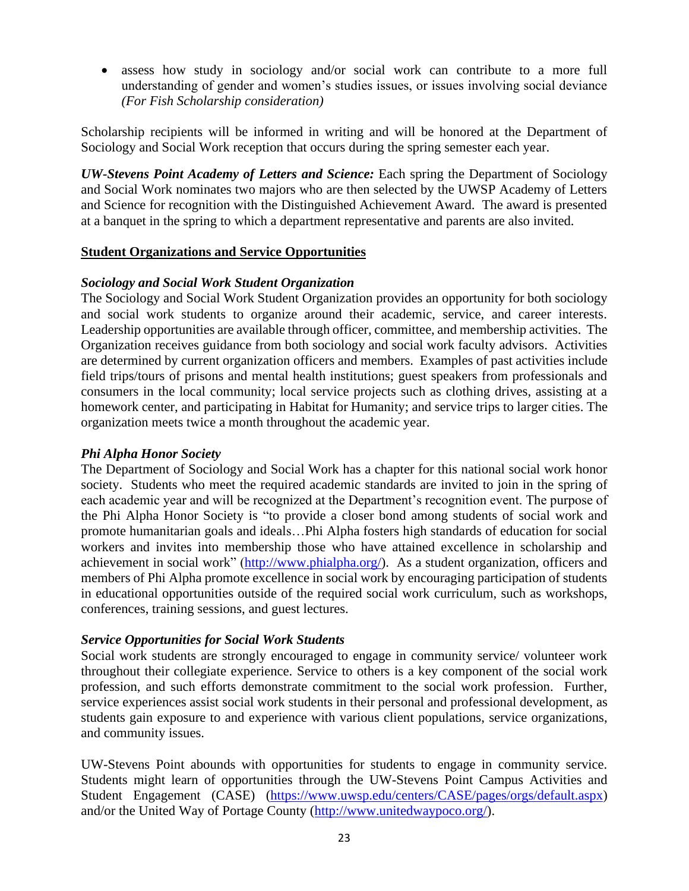• assess how study in sociology and/or social work can contribute to a more full understanding of gender and women's studies issues, or issues involving social deviance *(For Fish Scholarship consideration)*

Scholarship recipients will be informed in writing and will be honored at the Department of Sociology and Social Work reception that occurs during the spring semester each year.

*UW-Stevens Point Academy of Letters and Science:* Each spring the Department of Sociology and Social Work nominates two majors who are then selected by the UWSP Academy of Letters and Science for recognition with the Distinguished Achievement Award. The award is presented at a banquet in the spring to which a department representative and parents are also invited.

#### **Student Organizations and Service Opportunities**

#### *Sociology and Social Work Student Organization*

The Sociology and Social Work Student Organization provides an opportunity for both sociology and social work students to organize around their academic, service, and career interests. Leadership opportunities are available through officer, committee, and membership activities. The Organization receives guidance from both sociology and social work faculty advisors. Activities are determined by current organization officers and members. Examples of past activities include field trips/tours of prisons and mental health institutions; guest speakers from professionals and consumers in the local community; local service projects such as clothing drives, assisting at a homework center, and participating in Habitat for Humanity; and service trips to larger cities. The organization meets twice a month throughout the academic year.

#### *Phi Alpha Honor Society*

The Department of Sociology and Social Work has a chapter for this national social work honor society. Students who meet the required academic standards are invited to join in the spring of each academic year and will be recognized at the Department's recognition event. The purpose of the Phi Alpha Honor Society is "to provide a closer bond among students of social work and promote humanitarian goals and ideals…Phi Alpha fosters high standards of education for social workers and invites into membership those who have attained excellence in scholarship and achievement in social work" [\(http://www.phialpha.org/\)](http://www.phialpha.org/). As a student organization, officers and members of Phi Alpha promote excellence in social work by encouraging participation of students in educational opportunities outside of the required social work curriculum, such as workshops, conferences, training sessions, and guest lectures.

#### *Service Opportunities for Social Work Students*

Social work students are strongly encouraged to engage in community service/ volunteer work throughout their collegiate experience. Service to others is a key component of the social work profession, and such efforts demonstrate commitment to the social work profession. Further, service experiences assist social work students in their personal and professional development, as students gain exposure to and experience with various client populations, service organizations, and community issues.

UW-Stevens Point abounds with opportunities for students to engage in community service. Students might learn of opportunities through the UW-Stevens Point Campus Activities and Student Engagement (CASE) [\(https://www.uwsp.edu/centers/CASE/pages/orgs/default.aspx\)](https://www.uwsp.edu/centers/CASE/pages/orgs/default.aspx) and/or the United Way of Portage County [\(http://www.unitedwaypoco.org/\)](http://www.unitedwaypoco.org/).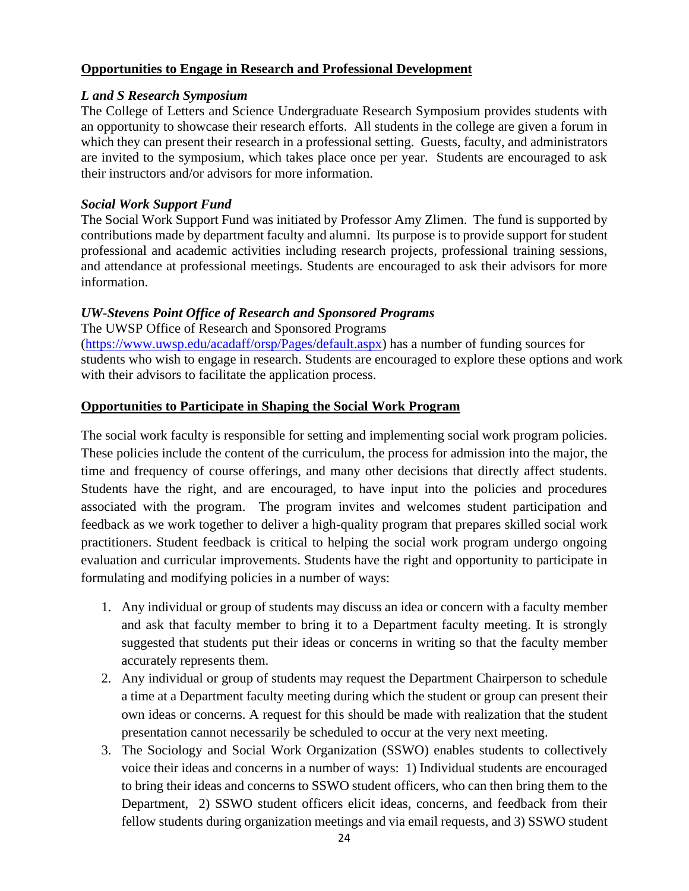## **Opportunities to Engage in Research and Professional Development**

### *L and S Research Symposium*

The College of Letters and Science Undergraduate Research Symposium provides students with an opportunity to showcase their research efforts. All students in the college are given a forum in which they can present their research in a professional setting. Guests, faculty, and administrators are invited to the symposium, which takes place once per year. Students are encouraged to ask their instructors and/or advisors for more information.

## *Social Work Support Fund*

The Social Work Support Fund was initiated by Professor Amy Zlimen. The fund is supported by contributions made by department faculty and alumni. Its purpose is to provide support for student professional and academic activities including research projects, professional training sessions, and attendance at professional meetings. Students are encouraged to ask their advisors for more information.

## *UW-Stevens Point Office of Research and Sponsored Programs*

The UWSP Office of Research and Sponsored Programs

[\(https://www.uwsp.edu/acadaff/orsp/Pages/default.aspx\)](https://www.uwsp.edu/acadaff/orsp/Pages/default.aspx) has a number of funding sources for students who wish to engage in research. Students are encouraged to explore these options and work with their advisors to facilitate the application process.

## **Opportunities to Participate in Shaping the Social Work Program**

The social work faculty is responsible for setting and implementing social work program policies. These policies include the content of the curriculum, the process for admission into the major, the time and frequency of course offerings, and many other decisions that directly affect students. Students have the right, and are encouraged, to have input into the policies and procedures associated with the program. The program invites and welcomes student participation and feedback as we work together to deliver a high-quality program that prepares skilled social work practitioners. Student feedback is critical to helping the social work program undergo ongoing evaluation and curricular improvements. Students have the right and opportunity to participate in formulating and modifying policies in a number of ways:

- 1. Any individual or group of students may discuss an idea or concern with a faculty member and ask that faculty member to bring it to a Department faculty meeting. It is strongly suggested that students put their ideas or concerns in writing so that the faculty member accurately represents them.
- 2. Any individual or group of students may request the Department Chairperson to schedule a time at a Department faculty meeting during which the student or group can present their own ideas or concerns. A request for this should be made with realization that the student presentation cannot necessarily be scheduled to occur at the very next meeting.
- 3. The Sociology and Social Work Organization (SSWO) enables students to collectively voice their ideas and concerns in a number of ways: 1) Individual students are encouraged to bring their ideas and concerns to SSWO student officers, who can then bring them to the Department, 2) SSWO student officers elicit ideas, concerns, and feedback from their fellow students during organization meetings and via email requests, and 3) SSWO student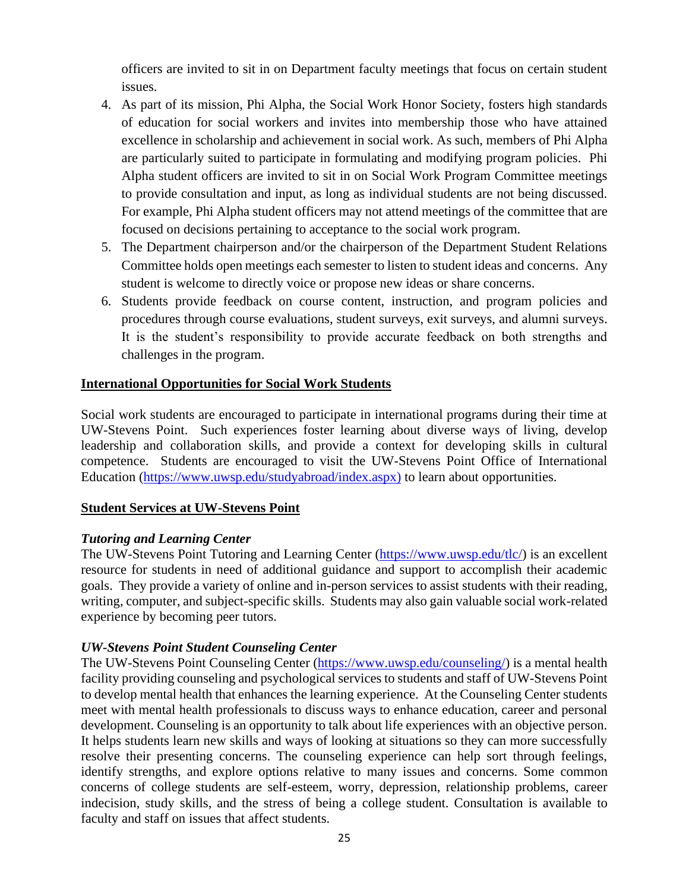officers are invited to sit in on Department faculty meetings that focus on certain student issues.

- 4. As part of its mission, Phi Alpha, the Social Work Honor Society, fosters high standards of education for social workers and invites into membership those who have attained excellence in scholarship and achievement in social work. As such, members of Phi Alpha are particularly suited to participate in formulating and modifying program policies. Phi Alpha student officers are invited to sit in on Social Work Program Committee meetings to provide consultation and input, as long as individual students are not being discussed. For example, Phi Alpha student officers may not attend meetings of the committee that are focused on decisions pertaining to acceptance to the social work program.
- 5. The Department chairperson and/or the chairperson of the Department Student Relations Committee holds open meetings each semester to listen to student ideas and concerns. Any student is welcome to directly voice or propose new ideas or share concerns.
- 6. Students provide feedback on course content, instruction, and program policies and procedures through course evaluations, student surveys, exit surveys, and alumni surveys. It is the student's responsibility to provide accurate feedback on both strengths and challenges in the program.

## **International Opportunities for Social Work Students**

Social work students are encouraged to participate in international programs during their time at UW-Stevens Point. Such experiences foster learning about diverse ways of living, develop leadership and collaboration skills, and provide a context for developing skills in cultural competence. Students are encouraged to visit the UW-Stevens Point Office of International Education [\(https://www.uwsp.edu/studyabroad/index.aspx\)](https://www.uwsp.edu/studyabroad/index.aspx) to learn about opportunities.

## **Student Services at UW-Stevens Point**

## *Tutoring and Learning Center*

The UW-Stevens Point Tutoring and Learning Center [\(https://www.uwsp.edu/tlc/\)](https://www.uwsp.edu/tlc/) is an excellent resource for students in need of additional guidance and support to accomplish their academic goals. They provide a variety of online and in-person services to assist students with their reading, writing, computer, and subject-specific skills. Students may also gain valuable social work-related experience by becoming peer tutors.

## *UW-Stevens Point Student Counseling Center*

The UW-Stevens Point Counseling Center [\(https://www.uwsp.edu/counseling/\)](https://www.uwsp.edu/counseling/) is a mental health facility providing counseling and psychological services to students and staff of UW-Stevens Point to develop mental health that enhances the learning experience. At the Counseling Center students meet with mental health professionals to discuss ways to enhance education, career and personal development. Counseling is an opportunity to talk about life experiences with an objective person. It helps students learn new skills and ways of looking at situations so they can more successfully resolve their presenting concerns. The counseling experience can help sort through feelings, identify strengths, and explore options relative to many issues and concerns. Some common concerns of college students are self-esteem, worry, depression, relationship problems, career indecision, study skills, and the stress of being a college student. Consultation is available to faculty and staff on issues that affect students.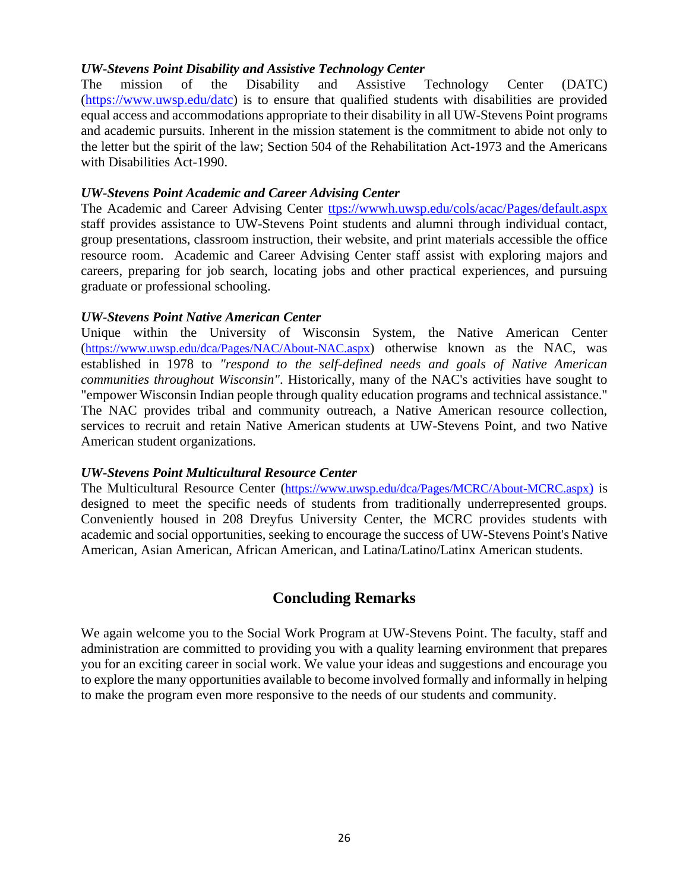#### *UW-Stevens Point Disability and Assistive Technology Center*

The mission of the Disability and Assistive Technology Center (DATC) [\(https://www.uwsp.edu/datc\)](https://www.uwsp.edu/datc) is to ensure that qualified students with disabilities are provided equal access and accommodations appropriate to their disability in all UW-Stevens Point programs and academic pursuits. Inherent in the mission statement is the commitment to abide not only to the letter but the spirit of the law; Section 504 of the Rehabilitation Act-1973 and the Americans with Disabilities Act-1990.

#### *UW-Stevens Point Academic and Career Advising Center*

The Academic and Career Advising Center [ttps://wwwh.uwsp.edu/cols/acac/Pages/default.aspx](https://www.uwsp.edu/acac/pages/default.aspx) staff provides assistance to UW-Stevens Point students and alumni through individual contact, group presentations, classroom instruction, their website, and print materials accessible the office resource room. Academic and Career Advising Center staff assist with exploring majors and careers, preparing for job search, locating jobs and other practical experiences, and pursuing graduate or professional schooling.

#### *UW-Stevens Point Native American Center*

Unique within the University of Wisconsin System, the Native American Center (<https://www.uwsp.edu/dca/Pages/NAC/About-NAC.aspx>) otherwise known as the NAC, was established in 1978 to *"respond to the self-defined needs and goals of Native American communities throughout Wisconsin"*. Historically, many of the NAC's activities have sought to "empower Wisconsin Indian people through quality education programs and technical assistance." The NAC provides tribal and community outreach, a Native American resource collection, services to recruit and retain Native American students at UW-Stevens Point, and two Native American student organizations.

#### *UW-Stevens Point Multicultural Resource Center*

The Multicultural Resource Center (<https://www.uwsp.edu/dca/Pages/MCRC/About-MCRC.aspx>) is designed to meet the specific needs of students from traditionally underrepresented groups. Conveniently housed in 208 Dreyfus University Center, the MCRC provides students with academic and social opportunities, seeking to encourage the success of UW-Stevens Point's Native American, Asian American, African American, and Latina/Latino/Latinx American students.

# **Concluding Remarks**

We again welcome you to the Social Work Program at UW-Stevens Point. The faculty, staff and administration are committed to providing you with a quality learning environment that prepares you for an exciting career in social work. We value your ideas and suggestions and encourage you to explore the many opportunities available to become involved formally and informally in helping to make the program even more responsive to the needs of our students and community.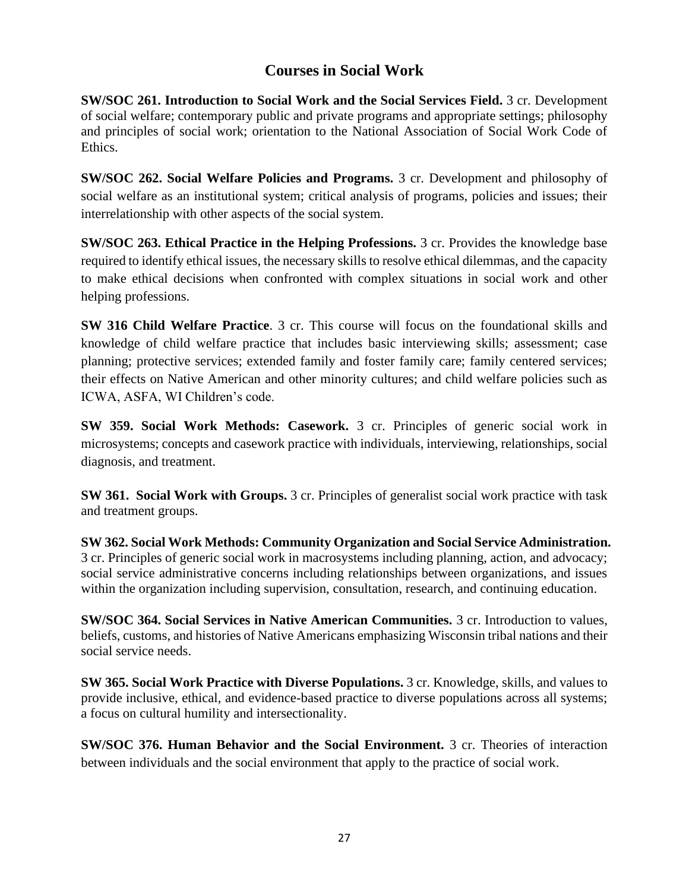# **Courses in Social Work**

**SW/SOC 261. Introduction to Social Work and the Social Services Field.** 3 cr. Development of social welfare; contemporary public and private programs and appropriate settings; philosophy and principles of social work; orientation to the National Association of Social Work Code of Ethics.

**SW/SOC 262. Social Welfare Policies and Programs.** 3 cr. Development and philosophy of social welfare as an institutional system; critical analysis of programs, policies and issues; their interrelationship with other aspects of the social system.

**SW/SOC 263. Ethical Practice in the Helping Professions.** 3 cr. Provides the knowledge base required to identify ethical issues, the necessary skills to resolve ethical dilemmas, and the capacity to make ethical decisions when confronted with complex situations in social work and other helping professions.

**SW 316 Child Welfare Practice**. 3 cr. This course will focus on the foundational skills and knowledge of child welfare practice that includes basic interviewing skills; assessment; case planning; protective services; extended family and foster family care; family centered services; their effects on Native American and other minority cultures; and child welfare policies such as ICWA, ASFA, WI Children's code.

**SW 359. Social Work Methods: Casework.** 3 cr. Principles of generic social work in microsystems; concepts and casework practice with individuals, interviewing, relationships, social diagnosis, and treatment.

**SW 361. Social Work with Groups.** 3 cr. Principles of generalist social work practice with task and treatment groups.

**SW 362. Social Work Methods: Community Organization and Social Service Administration.** 3 cr. Principles of generic social work in macrosystems including planning, action, and advocacy; social service administrative concerns including relationships between organizations, and issues within the organization including supervision, consultation, research, and continuing education.

**SW/SOC 364. Social Services in Native American Communities.** 3 cr. Introduction to values, beliefs, customs, and histories of Native Americans emphasizing Wisconsin tribal nations and their social service needs.

**SW 365. Social Work Practice with Diverse Populations.** 3 cr. Knowledge, skills, and values to provide inclusive, ethical, and evidence-based practice to diverse populations across all systems; a focus on cultural humility and intersectionality.

**SW/SOC 376. Human Behavior and the Social Environment.** 3 cr. Theories of interaction between individuals and the social environment that apply to the practice of social work.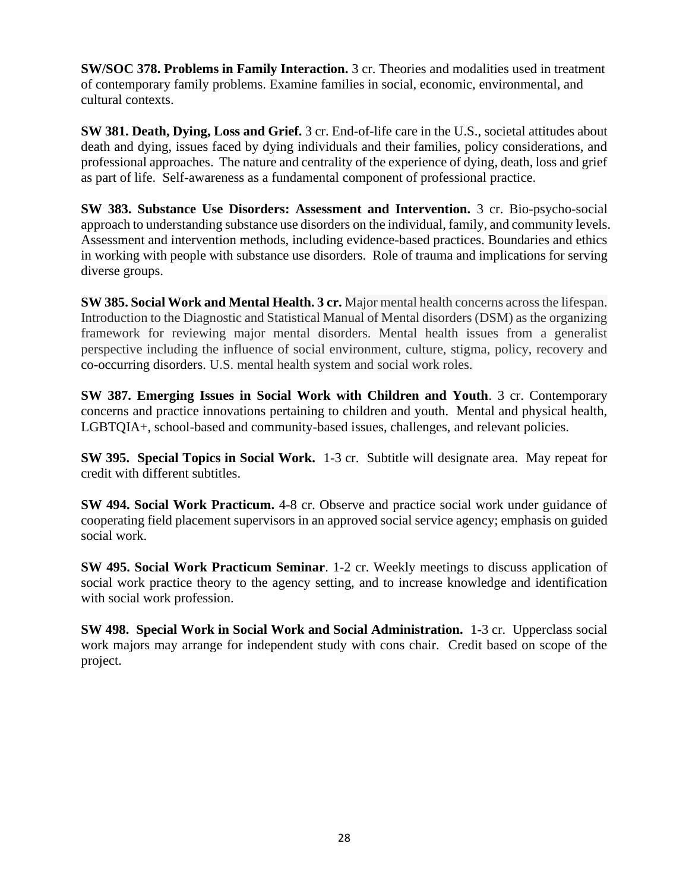**SW/SOC 378. Problems in Family Interaction.** 3 cr. Theories and modalities used in treatment of contemporary family problems. Examine families in social, economic, environmental, and cultural contexts.

**SW 381. Death, Dying, Loss and Grief.** 3 cr. End-of-life care in the U.S., societal attitudes about death and dying, issues faced by dying individuals and their families, policy considerations, and professional approaches. The nature and centrality of the experience of dying, death, loss and grief as part of life. Self-awareness as a fundamental component of professional practice.

**SW 383. Substance Use Disorders: Assessment and Intervention.** 3 cr. Bio-psycho-social approach to understanding substance use disorders on the individual, family, and community levels. Assessment and intervention methods, including evidence-based practices. Boundaries and ethics in working with people with substance use disorders. Role of trauma and implications for serving diverse groups.

**SW 385. Social Work and Mental Health. 3 cr.** Major mental health concerns across the lifespan. Introduction to the Diagnostic and Statistical Manual of Mental disorders (DSM) as the organizing framework for reviewing major mental disorders. Mental health issues from a generalist perspective including the influence of social environment, culture, stigma, policy, recovery and co-occurring disorders. U.S. mental health system and social work roles.

**SW 387. Emerging Issues in Social Work with Children and Youth**. 3 cr. Contemporary concerns and practice innovations pertaining to children and youth. Mental and physical health, LGBTQIA+, school-based and community-based issues, challenges, and relevant policies.

**SW 395. Special Topics in Social Work.** 1-3 cr. Subtitle will designate area. May repeat for credit with different subtitles.

**SW 494. Social Work Practicum.** 4-8 cr. Observe and practice social work under guidance of cooperating field placement supervisors in an approved social service agency; emphasis on guided social work.

**SW 495. Social Work Practicum Seminar**. 1-2 cr. Weekly meetings to discuss application of social work practice theory to the agency setting, and to increase knowledge and identification with social work profession.

**SW 498. Special Work in Social Work and Social Administration.** 1-3 cr. Upperclass social work majors may arrange for independent study with cons chair. Credit based on scope of the project.